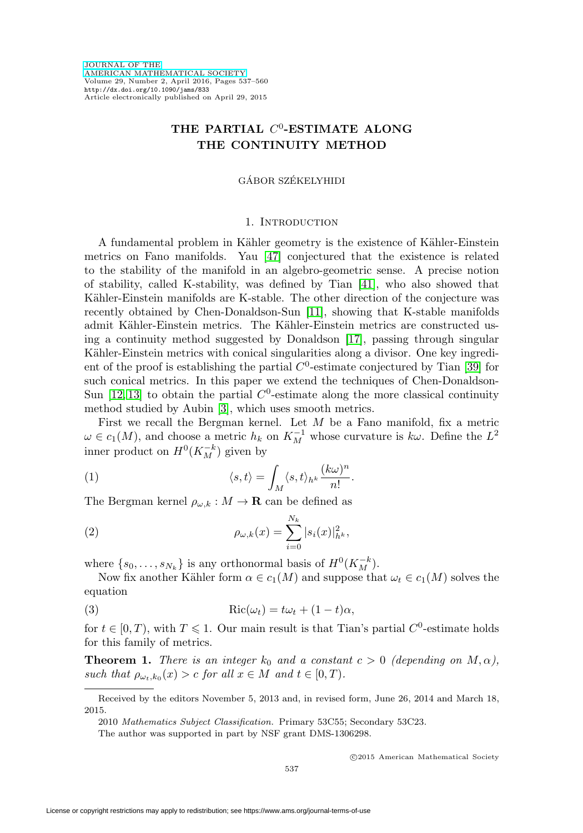# THE PARTIAL  $C^0$ -ESTIMATE ALONG **THE CONTINUITY METHOD**

## GÁBOR SZÉKELYHIDI

#### 1. INTRODUCTION

A fundamental problem in Kähler geometry is the existence of Kähler-Einstein metrics on Fano manifolds. Yau [\[47\]](#page-23-0) conjectured that the existence is related to the stability of the manifold in an algebro-geometric sense. A precise notion of stability, called K-stability, was defined by Tian [\[41\]](#page-22-0), who also showed that Kähler-Einstein manifolds are K-stable. The other direction of the conjecture was recently obtained by Chen-Donaldson-Sun [\[11\]](#page-21-0), showing that K-stable manifolds admit Kähler-Einstein metrics. The Kähler-Einstein metrics are constructed using a continuity method suggested by Donaldson [\[17\]](#page-22-1), passing through singular Kähler-Einstein metrics with conical singularities along a divisor. One key ingredient of the proof is establishing the partial  $C^0$ -estimate conjectured by Tian [\[39\]](#page-22-2) for such conical metrics. In this paper we extend the techniques of Chen-Donaldson-Sun [\[12,](#page-21-1) [13\]](#page-21-2) to obtain the partial  $C^0$ -estimate along the more classical continuity method studied by Aubin [\[3\]](#page-21-3), which uses smooth metrics.

First we recall the Bergman kernel. Let M be a Fano manifold, fix a metric  $\omega \in c_1(M)$ , and choose a metric  $h_k$  on  $K_M^{-1}$  whose curvature is  $k\omega$ . Define the  $L^2$ inner product on  $H^0(K_M^{-k})$  given by

(1) 
$$
\langle s, t \rangle = \int_M \langle s, t \rangle_{h^k} \frac{(k\omega)^n}{n!}.
$$

The Bergman kernel  $\rho_{\omega,k}: M \to \mathbf{R}$  can be defined as

(2) 
$$
\rho_{\omega,k}(x) = \sum_{i=0}^{N_k} |s_i(x)|_{h^k}^2,
$$

where  $\{s_0, \ldots, s_{N_k}\}\$ is any orthonormal basis of  $H^0(K_M^{-k})$ .

Now fix another Kähler form  $\alpha \in c_1(M)$  and suppose that  $\omega_t \in c_1(M)$  solves the equation

<span id="page-0-0"></span>(3) 
$$
Ric(\omega_t) = t\omega_t + (1-t)\alpha,
$$

for  $t \in [0, T)$ , with  $T \leq 1$ . Our main result is that Tian's partial  $C^0$ -estimate holds for this family of metrics.

<span id="page-0-1"></span>**Theorem 1.** There is an integer  $k_0$  and a constant  $c > 0$  (depending on  $M, \alpha$ ), such that  $\rho_{\omega_t,k_0}(x) > c$  for all  $x \in M$  and  $t \in [0,T)$ .

Received by the editors November 5, 2013 and, in revised form, June 26, 2014 and March 18, 2015.

<sup>2010</sup> Mathematics Subject Classification. Primary 53C55; Secondary 53C23.

The author was supported in part by NSF grant DMS-1306298.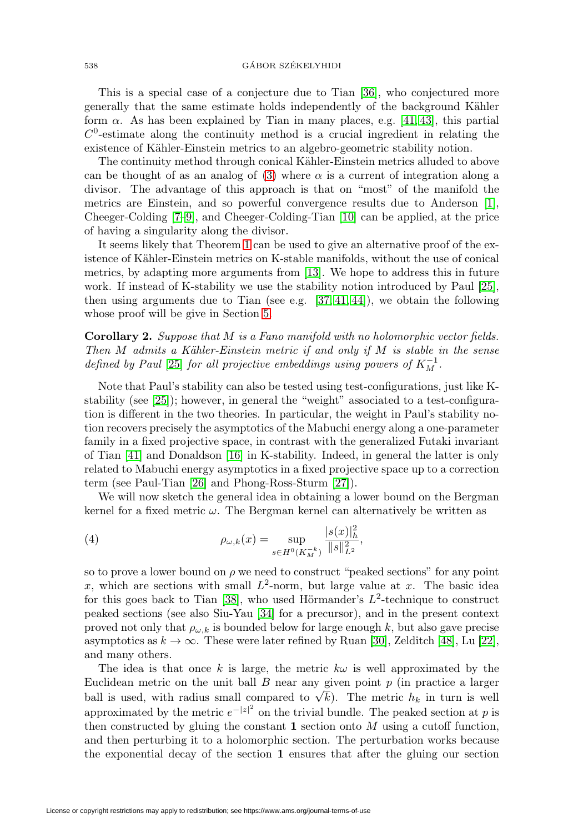## $\text{GABOR SZÉKELYHIDI}$

This is a special case of a conjecture due to Tian [\[36\]](#page-22-3), who conjectured more generally that the same estimate holds independently of the background Kähler form  $\alpha$ . As has been explained by Tian in many places, e.g. [\[41,](#page-22-0) [43\]](#page-23-1), this partial  $C<sup>0</sup>$ -estimate along the continuity method is a crucial ingredient in relating the existence of Kähler-Einstein metrics to an algebro-geometric stability notion.

The continuity method through conical Kähler-Einstein metrics alluded to above can be thought of as an analog of [\(3\)](#page-0-0) where  $\alpha$  is a current of integration along a divisor. The advantage of this approach is that on "most" of the manifold the metrics are Einstein, and so powerful convergence results due to Anderson [\[1\]](#page-21-4), Cheeger-Colding [\[7–](#page-21-5)[9\]](#page-21-6), and Cheeger-Colding-Tian [\[10\]](#page-21-7) can be applied, at the price of having a singularity along the divisor.

It seems likely that Theorem [1](#page-0-1) can be used to give an alternative proof of the existence of Kähler-Einstein metrics on K-stable manifolds, without the use of conical metrics, by adapting more arguments from [\[13\]](#page-21-2). We hope to address this in future work. If instead of K-stability we use the stability notion introduced by Paul [\[25\]](#page-22-4), then using arguments due to Tian (see e.g.  $[37, 41, 44]$  $[37, 41, 44]$  $[37, 41, 44]$ ), we obtain the following whose proof will be give in Section [5.](#page-20-0)

<span id="page-1-0"></span>**Corollary 2.** Suppose that M is a Fano manifold with no holomorphic vector fields. Then  $M$  admits a Kähler-Einstein metric if and only if  $M$  is stable in the sense defined by Paul [\[25\]](#page-22-4) for all projective embeddings using powers of  $K_M^{-1}$ .

Note that Paul's stability can also be tested using test-configurations, just like Kstability (see [\[25\]](#page-22-4)); however, in general the "weight" associated to a test-configuration is different in the two theories. In particular, the weight in Paul's stability notion recovers precisely the asymptotics of the Mabuchi energy along a one-parameter family in a fixed projective space, in contrast with the generalized Futaki invariant of Tian [\[41\]](#page-22-0) and Donaldson [\[16\]](#page-22-6) in K-stability. Indeed, in general the latter is only related to Mabuchi energy asymptotics in a fixed projective space up to a correction term (see Paul-Tian [\[26\]](#page-22-7) and Phong-Ross-Sturm [\[27\]](#page-22-8)).

We will now sketch the general idea in obtaining a lower bound on the Bergman kernel for a fixed metric  $\omega$ . The Bergman kernel can alternatively be written as

(4) 
$$
\rho_{\omega,k}(x) = \sup_{s \in H^0(K_M^{-k})} \frac{|s(x)|_h^2}{\|s\|_{L^2}^2},
$$

so to prove a lower bound on  $\rho$  we need to construct "peaked sections" for any point x, which are sections with small  $L^2$ -norm, but large value at x. The basic idea for this goes back to Tian [\[38\]](#page-22-9), who used Hörmander's  $L^2$ -technique to construct peaked sections (see also Siu-Yau [\[34\]](#page-22-10) for a precursor), and in the present context proved not only that  $\rho_{\omega,k}$  is bounded below for large enough k, but also gave precise asymptotics as  $k \to \infty$ . These were later refined by Ruan [\[30\]](#page-22-11), Zelditch [\[48\]](#page-23-3), Lu [\[22\]](#page-22-12), and many others.

The idea is that once k is large, the metric  $k\omega$  is well approximated by the Euclidean metric on the unit ball  $B$  near any given point  $p$  (in practice a larger Euchdean metric on the unit ban *D* hear any given point *p* (in practice a larger ball is used, with radius small compared to  $\sqrt{k}$ ). The metric  $h_k$  in turn is well approximated by the metric  $e^{-|z|^2}$  on the trivial bundle. The peaked section at p is then constructed by gluing the constant  $\bf{1}$  section onto  $M$  using a cutoff function, and then perturbing it to a holomorphic section. The perturbation works because the exponential decay of the section **1** ensures that after the gluing our section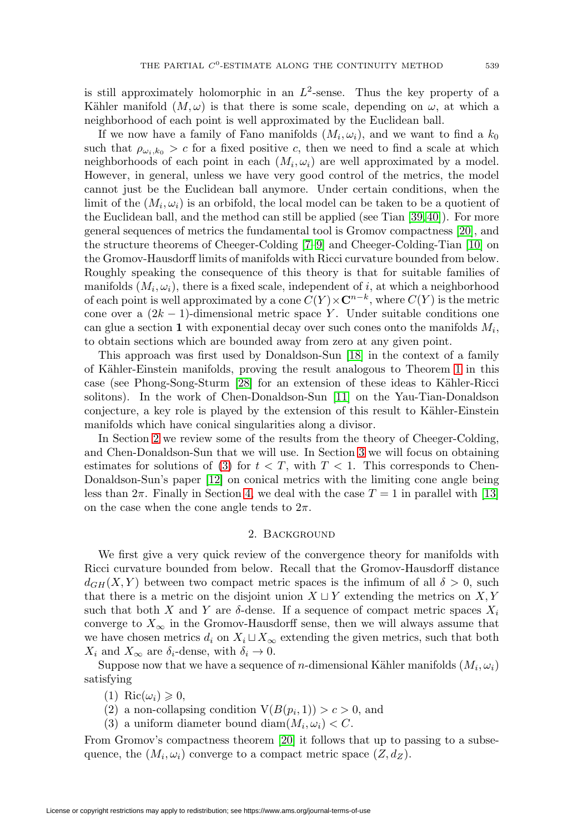is still approximately holomorphic in an  $L^2$ -sense. Thus the key property of a Kähler manifold  $(M,\omega)$  is that there is some scale, depending on  $\omega$ , at which a neighborhood of each point is well approximated by the Euclidean ball.

If we now have a family of Fano manifolds  $(M_i, \omega_i)$ , and we want to find a  $k_0$ such that  $\rho_{\omega_i,k_0} > c$  for a fixed positive c, then we need to find a scale at which neighborhoods of each point in each  $(M_i, \omega_i)$  are well approximated by a model. However, in general, unless we have very good control of the metrics, the model cannot just be the Euclidean ball anymore. Under certain conditions, when the limit of the  $(M_i, \omega_i)$  is an orbifold, the local model can be taken to be a quotient of the Euclidean ball, and the method can still be applied (see Tian [\[39,](#page-22-2)[40\]](#page-22-13)). For more general sequences of metrics the fundamental tool is Gromov compactness [\[20\]](#page-22-14), and the structure theorems of Cheeger-Colding [\[7–](#page-21-5)[9\]](#page-21-6) and Cheeger-Colding-Tian [\[10\]](#page-21-7) on the Gromov-Hausdorff limits of manifolds with Ricci curvature bounded from below. Roughly speaking the consequence of this theory is that for suitable families of manifolds  $(M_i, \omega_i)$ , there is a fixed scale, independent of i, at which a neighborhood of each point is well approximated by a cone  $C(Y) \times \mathbb{C}^{n-k}$ , where  $C(Y)$  is the metric cone over a  $(2k-1)$ -dimensional metric space Y. Under suitable conditions one can glue a section **1** with exponential decay over such cones onto the manifolds  $M_i$ , to obtain sections which are bounded away from zero at any given point.

This approach was first used by Donaldson-Sun [\[18\]](#page-22-15) in the context of a family of Kähler-Einstein manifolds, proving the result analogous to Theorem [1](#page-0-1) in this case (see Phong-Song-Sturm [\[28\]](#page-22-16) for an extension of these ideas to Kähler-Ricci solitons). In the work of Chen-Donaldson-Sun [\[11\]](#page-21-0) on the Yau-Tian-Donaldson conjecture, a key role is played by the extension of this result to Kähler-Einstein manifolds which have conical singularities along a divisor.

In Section [2](#page-2-0) we review some of the results from the theory of Cheeger-Colding, and Chen-Donaldson-Sun that we will use. In Section [3](#page-5-0) we will focus on obtaining estimates for solutions of [\(3\)](#page-0-0) for  $t < T$ , with  $T < 1$ . This corresponds to Chen-Donaldson-Sun's paper [\[12\]](#page-21-1) on conical metrics with the limiting cone angle being less than  $2\pi$ . Finally in Section [4,](#page-11-0) we deal with the case  $T = 1$  in parallel with [\[13\]](#page-21-2) on the case when the cone angle tends to  $2\pi$ .

#### 2. Background

<span id="page-2-0"></span>We first give a very quick review of the convergence theory for manifolds with Ricci curvature bounded from below. Recall that the Gromov-Hausdorff distance  $d_{GH}(X, Y)$  between two compact metric spaces is the infimum of all  $\delta > 0$ , such that there is a metric on the disjoint union  $X \sqcup Y$  extending the metrics on X, Y such that both X and Y are  $\delta$ -dense. If a sequence of compact metric spaces  $X_i$ converge to  $X_{\infty}$  in the Gromov-Hausdorff sense, then we will always assume that we have chosen metrics  $d_i$  on  $X_i \sqcup X_\infty$  extending the given metrics, such that both  $X_i$  and  $X_{\infty}$  are  $\delta_i$ -dense, with  $\delta_i \to 0$ .

Suppose now that we have a sequence of *n*-dimensional Kähler manifolds  $(M_i, \omega_i)$ satisfying

- (1) Ric $(\omega_i) \geqslant 0$ ,
- (2) a non-collapsing condition  $V(B(p_i, 1)) > c > 0$ , and
- (3) a uniform diameter bound diam $(M_i, \omega_i) < C$ .

From Gromov's compactness theorem [\[20\]](#page-22-14) it follows that up to passing to a subsequence, the  $(M_i, \omega_i)$  converge to a compact metric space  $(Z, d_Z)$ .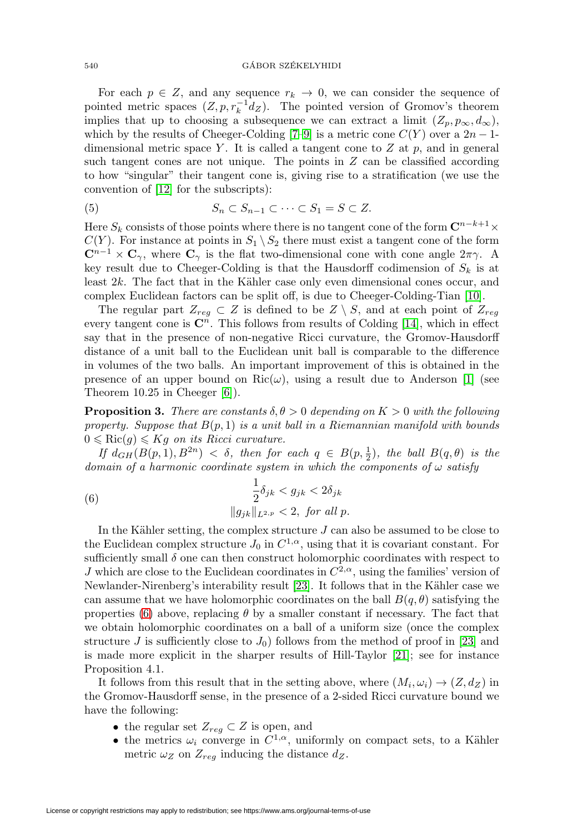For each  $p \in Z$ , and any sequence  $r_k \to 0$ , we can consider the sequence of pointed metric spaces  $(Z, p, r_k^{-1}d_Z)$ . The pointed version of Gromov's theorem implies that up to choosing a subsequence we can extract a limit  $(Z_p, p_\infty, d_\infty)$ , which by the results of Cheeger-Colding [\[7](#page-21-5)[–9\]](#page-21-6) is a metric cone  $C(Y)$  over a  $2n-1$ dimensional metric space Y. It is called a tangent cone to  $Z$  at  $p$ , and in general such tangent cones are not unique. The points in  $Z$  can be classified according to how "singular" their tangent cone is, giving rise to a stratification (we use the convention of [\[12\]](#page-21-1) for the subscripts):

(5) 
$$
S_n \subset S_{n-1} \subset \cdots \subset S_1 = S \subset Z.
$$

Here  $S_k$  consists of those points where there is no tangent cone of the form  $\mathbb{C}^{n-k+1}\times$  $C(Y)$ . For instance at points in  $S_1 \setminus S_2$  there must exist a tangent cone of the form  $\mathbb{C}^{n-1} \times \mathbb{C}_{\gamma}$ , where  $\mathbb{C}_{\gamma}$  is the flat two-dimensional cone with cone angle  $2\pi\gamma$ . A key result due to Cheeger-Colding is that the Hausdorff codimension of  $S_k$  is at least  $2k$ . The fact that in the Kähler case only even dimensional cones occur, and complex Euclidean factors can be split off, is due to Cheeger-Colding-Tian [\[10\]](#page-21-7).

The regular part  $Z_{reg} \subset Z$  is defined to be  $Z \setminus S$ , and at each point of  $Z_{reg}$ every tangent cone is  $\mathbb{C}^n$ . This follows from results of Colding [\[14\]](#page-21-8), which in effect say that in the presence of non-negative Ricci curvature, the Gromov-Hausdorff distance of a unit ball to the Euclidean unit ball is comparable to the difference in volumes of the two balls. An important improvement of this is obtained in the presence of an upper bound on  $\text{Ric}(\omega)$ , using a result due to Anderson [\[1\]](#page-21-4) (see Theorem 10.25 in Cheeger [\[6\]](#page-21-9)).

**Proposition 3.** There are constants  $\delta, \theta > 0$  depending on  $K > 0$  with the following property. Suppose that  $B(p, 1)$  is a unit ball in a Riemannian manifold with bounds  $0 \leqslant Ric(g) \leqslant Kg$  on its Ricci curvature.

If  $d_{GH}(B(p,1), B^{2n}) < \delta$ , then for each  $q \in B(p, \frac{1}{2})$ , the ball  $B(q, \theta)$  is the domain of a harmonic coordinate system in which the components of  $\omega$  satisfy

<span id="page-3-0"></span>(6) 
$$
\frac{1}{2}\delta_{jk} < g_{jk} < 2\delta_{jk} \\
||g_{jk}||_{L^{2,p}} < 2, \text{ for all } p.
$$

In the Kähler setting, the complex structure  $J$  can also be assumed to be close to the Euclidean complex structure  $J_0$  in  $C^{1,\alpha}$ , using that it is covariant constant. For sufficiently small  $\delta$  one can then construct holomorphic coordinates with respect to J which are close to the Euclidean coordinates in  $C^{2,\alpha}$ , using the families' version of Newlander-Nirenberg's interability result [\[23\]](#page-22-17). It follows that in the Kähler case we can assume that we have holomorphic coordinates on the ball  $B(q, \theta)$  satisfying the properties [\(6\)](#page-3-0) above, replacing  $\theta$  by a smaller constant if necessary. The fact that we obtain holomorphic coordinates on a ball of a uniform size (once the complex structure J is sufficiently close to  $J_0$ ) follows from the method of proof in [\[23\]](#page-22-17) and is made more explicit in the sharper results of Hill-Taylor [\[21\]](#page-22-18); see for instance Proposition 4.1.

It follows from this result that in the setting above, where  $(M_i, \omega_i) \rightarrow (Z, d_Z)$  in the Gromov-Hausdorff sense, in the presence of a 2-sided Ricci curvature bound we have the following:

- the regular set  $Z_{reg} \subset Z$  is open, and
- the metrics  $\omega_i$  converge in  $C^{1,\alpha}$ , uniformly on compact sets, to a Kähler metric  $\omega_Z$  on  $Z_{reg}$  inducing the distance  $d_Z$ .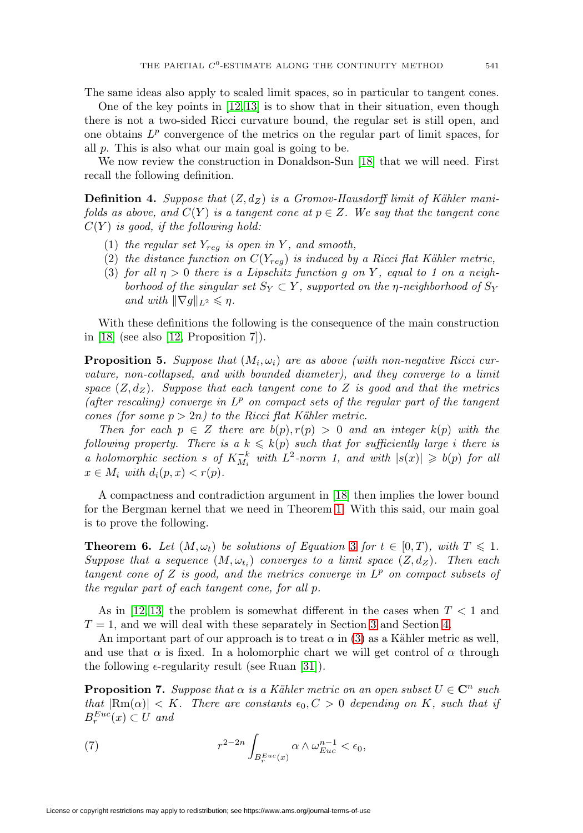The same ideas also apply to scaled limit spaces, so in particular to tangent cones.

One of the key points in  $[12, 13]$  $[12, 13]$  is to show that in their situation, even though there is not a two-sided Ricci curvature bound, the regular set is still open, and one obtains  $L^p$  convergence of the metrics on the regular part of limit spaces, for all p. This is also what our main goal is going to be.

We now review the construction in Donaldson-Sun [\[18\]](#page-22-15) that we will need. First recall the following definition.

<span id="page-4-2"></span>**Definition 4.** Suppose that  $(Z, d_Z)$  is a Gromov-Hausdorff limit of Kähler manifolds as above, and  $C(Y)$  is a tangent cone at  $p \in Z$ . We say that the tangent cone  $C(Y)$  is good, if the following hold:

- (1) the regular set  $Y_{req}$  is open in Y, and smooth,
- (2) the distance function on  $C(Y_{req})$  is induced by a Ricci flat Kähler metric,
- (3) for all  $\eta > 0$  there is a Lipschitz function g on Y, equal to 1 on a neighborhood of the singular set  $S_Y \subset Y$ , supported on the *η*-neighborhood of  $S_Y$ and with  $\|\nabla g\|_{L^2} \leq \eta$ .

With these definitions the following is the consequence of the main construction in [\[18\]](#page-22-15) (see also [\[12,](#page-21-1) Proposition 7]).

**Proposition 5.** Suppose that  $(M_i, \omega_i)$  are as above (with non-negative Ricci curvature, non-collapsed, and with bounded diameter), and they converge to a limit space  $(Z, d_Z)$ . Suppose that each tangent cone to Z is good and that the metrics (after rescaling) converge in  $L^p$  on compact sets of the regular part of the tangent cones (for some  $p > 2n$ ) to the Ricci flat Kähler metric.

Then for each  $p \in Z$  there are  $b(p), r(p) > 0$  and an integer  $k(p)$  with the following property. There is a  $k \leqslant k(p)$  such that for sufficiently large i there is a holomorphic section s of  $K_{M_i}^{-k}$  with  $L^2$ -norm 1, and with  $|s(x)| \geq b(p)$  for all  $x \in M_i$  with  $d_i(p, x) < r(p)$ .

A compactness and contradiction argument in [\[18\]](#page-22-15) then implies the lower bound for the Bergman kernel that we need in Theorem [1.](#page-0-1) With this said, our main goal is to prove the following.

<span id="page-4-3"></span>**Theorem 6.** Let  $(M, \omega_t)$  be solutions of Equation [3](#page-0-0) for  $t \in [0, T)$ , with  $T \leq 1$ . Suppose that a sequence  $(M, \omega_{t_i})$  converges to a limit space  $(Z, d_Z)$ . Then each tangent cone of Z is good, and the metrics converge in  $L^p$  on compact subsets of the regular part of each tangent cone, for all p.

As in [\[12,](#page-21-1) [13\]](#page-21-2) the problem is somewhat different in the cases when  $T < 1$  and  $T = 1$ , and we will deal with these separately in Section [3](#page-5-0) and Section [4.](#page-11-0)

An important part of our approach is to treat  $\alpha$  in [\(3\)](#page-0-0) as a Kähler metric as well, and use that  $\alpha$  is fixed. In a holomorphic chart we will get control of  $\alpha$  through the following  $\epsilon$ -regularity result (see Ruan [\[31\]](#page-22-19)).

<span id="page-4-0"></span>**Proposition 7.** Suppose that  $\alpha$  is a Kähler metric on an open subset  $U \in \mathbb{C}^n$  such that  $|\text{Rm}(\alpha)| < K$ . There are constants  $\epsilon_0, C > 0$  depending on K, such that if  $B_r^{Euc}(x) \subset U$  and

<span id="page-4-1"></span>(7) 
$$
r^{2-2n} \int_{B_r^{Euc}(x)} \alpha \wedge \omega_{Euc}^{n-1} < \epsilon_0,
$$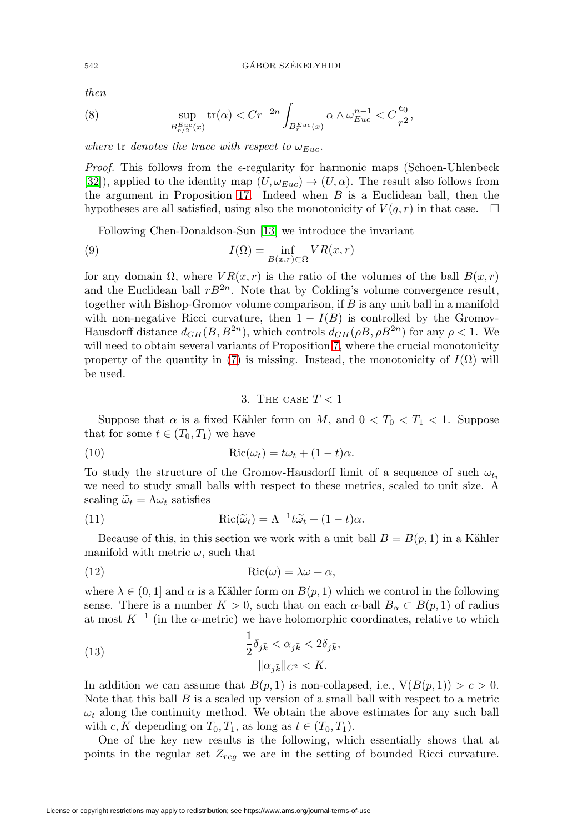then

(8) 
$$
\sup_{B_{r/2}^{Euc}(x)} tr(\alpha) < Cr^{-2n} \int_{B_r^{Euc}(x)} \alpha \wedge \omega_{Euc}^{n-1} < C \frac{\epsilon_0}{r^2},
$$

where tr denotes the trace with respect to  $\omega_{Euc}$ .

*Proof.* This follows from the  $\epsilon$ -regularity for harmonic maps (Schoen-Uhlenbeck [\[32\]](#page-22-20)), applied to the identity map  $(U, \omega_{Euc}) \rightarrow (U, \alpha)$ . The result also follows from the argument in Proposition [17.](#page-12-0) Indeed when  $B$  is a Euclidean ball, then the hypotheses are all satisfied, using also the monotonicity of  $V(q, r)$  in that case.  $\Box$ 

Following Chen-Donaldson-Sun [\[13\]](#page-21-2) we introduce the invariant

(9) 
$$
I(\Omega) = \inf_{B(x,r) \subset \Omega} VR(x,r)
$$

for any domain  $\Omega$ , where  $VR(x, r)$  is the ratio of the volumes of the ball  $B(x, r)$ and the Euclidean ball  $rB^{2n}$ . Note that by Colding's volume convergence result, together with Bishop-Gromov volume comparison, if  $B$  is any unit ball in a manifold with non-negative Ricci curvature, then  $1 - I(B)$  is controlled by the Gromov-Hausdorff distance  $d_{GH}(B, B^{2n})$ , which controls  $d_{GH}(\rho B, \rho B^{2n})$  for any  $\rho < 1$ . We will need to obtain several variants of Proposition [7,](#page-4-0) where the crucial monotonicity property of the quantity in [\(7\)](#page-4-1) is missing. Instead, the monotonicity of  $I(\Omega)$  will be used.

## 3. The case  $T < 1$

<span id="page-5-0"></span>Suppose that  $\alpha$  is a fixed Kähler form on M, and  $0 < T_0 < T_1 < 1$ . Suppose that for some  $t \in (T_0, T_1)$  we have

(10) 
$$
Ric(\omega_t) = t\omega_t + (1-t)\alpha.
$$

To study the structure of the Gromov-Hausdorff limit of a sequence of such  $\omega_{t_i}$ we need to study small balls with respect to these metrics, scaled to unit size. A scaling  $\tilde{\omega}_t = \Lambda \omega_t$  satisfies

(11) 
$$
Ric(\widetilde{\omega}_t) = \Lambda^{-1} t \widetilde{\omega}_t + (1-t)\alpha.
$$

Because of this, in this section we work with a unit ball  $B = B(p, 1)$  in a Kähler manifold with metric  $\omega$ , such that

(12) 
$$
Ric(\omega) = \lambda \omega + \alpha,
$$

where  $\lambda \in (0,1]$  and  $\alpha$  is a Kähler form on  $B(p, 1)$  which we control in the following sense. There is a number  $K > 0$ , such that on each  $\alpha$ -ball  $B_{\alpha} \subset B(p, 1)$  of radius at most  $K^{-1}$  (in the  $\alpha$ -metric) we have holomorphic coordinates, relative to which

<span id="page-5-1"></span>(13) 
$$
\frac{1}{2}\delta_{j\bar{k}} < \alpha_{j\bar{k}} < 2\delta_{j\bar{k}},
$$
\n
$$
\|\alpha_{j\bar{k}}\|_{C^2} < K.
$$

In addition we can assume that  $B(p, 1)$  is non-collapsed, i.e.,  $V(B(p, 1)) > c > 0$ . Note that this ball  $B$  is a scaled up version of a small ball with respect to a metric  $\omega_t$  along the continuity method. We obtain the above estimates for any such ball with c, K depending on  $T_0, T_1$ , as long as  $t \in (T_0, T_1)$ .

One of the key new results is the following, which essentially shows that at points in the regular set  $Z_{req}$  we are in the setting of bounded Ricci curvature.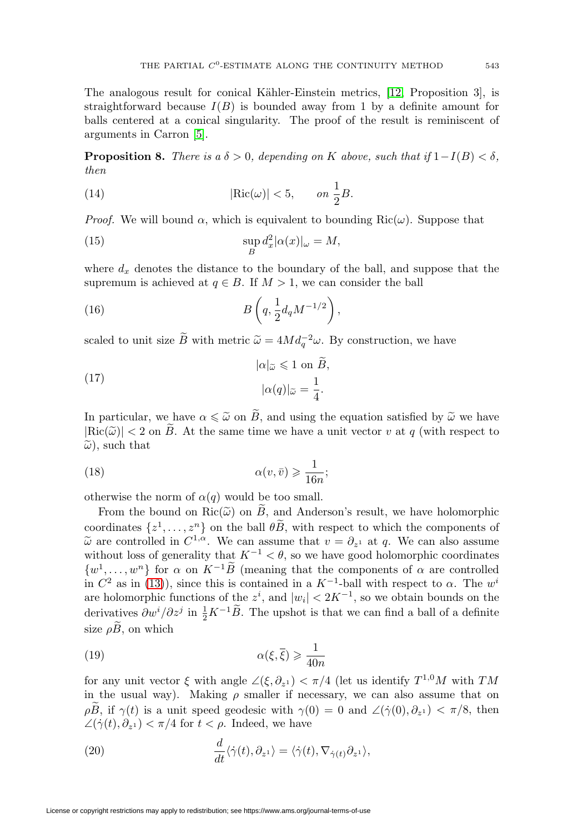The analogous result for conical Kähler-Einstein metrics, [\[12,](#page-21-1) Proposition 3], is straightforward because  $I(B)$  is bounded away from 1 by a definite amount for balls centered at a conical singularity. The proof of the result is reminiscent of arguments in Carron [\[5\]](#page-21-10).

<span id="page-6-0"></span>**Proposition 8.** There is a  $\delta > 0$ , depending on K above, such that if  $1-I(B) < \delta$ , then

(14) 
$$
|\text{Ric}(\omega)| < 5, \qquad on \frac{1}{2}B.
$$

*Proof.* We will bound  $\alpha$ , which is equivalent to bounding Ric $(\omega)$ . Suppose that

(15) 
$$
\sup_{B} d_x^2 |\alpha(x)|_{\omega} = M,
$$

where  $d_x$  denotes the distance to the boundary of the ball, and suppose that the supremum is achieved at  $q \in B$ . If  $M > 1$ , we can consider the ball

(16) 
$$
B\left(q, \frac{1}{2}d_qM^{-1/2}\right),
$$

scaled to unit size  $\widetilde{B}$  with metric  $\widetilde{\omega} = 4Md_q^{-2}\omega$ . By construction, we have  $\widetilde{\omega} =$ <br> $|\alpha|_{\widetilde{\omega}}$ 

(17) 
$$
|\alpha|_{\widetilde{\omega}} \leq 1 \text{ on } \widetilde{B},
$$

$$
|\alpha(q)|_{\widetilde{\omega}} = \frac{1}{4}.
$$

In particular, we have  $\alpha \leq \tilde{\omega}$  on B, and using the equation satisfied by  $\tilde{\omega}$  we have  $|\text{Ric}(\widetilde{\omega})| < 2$  on B. At the same time we have a unit vector v at q (with respect to  $\tilde{\omega}$ ), such that

(18) 
$$
\alpha(v,\bar{v}) \geqslant \frac{1}{16n};
$$

otherwise the norm of  $\alpha(q)$  would be too small.

From the bound on  $\text{Ric}(\widetilde{\omega})$  on B, and Anderson's result, we have holomorphic coordinates  $\{z^1,\ldots,z^n\}$  on the ball  $\theta\widetilde{B}$ , with respect to which the components of  $\tilde{\omega}$  are controlled in  $C^{1,\alpha}$ . We can assume that  $v = \partial_{z_1}$  at q. We can also assume without loss of generality that  $K^{-1} < \theta$ , so we have good holomorphic coordinates  $\{w^1,\ldots,w^n\}$  for  $\alpha$  on  $K^{-1}\widetilde{B}$  (meaning that the components of  $\alpha$  are controlled in  $C^2$  as in [\(13\)](#page-5-1)), since this is contained in a  $K^{-1}$ -ball with respect to  $\alpha$ . The w<sup>i</sup> are holomorphic functions of the  $z^i$ , and  $|w_i| < 2K^{-1}$ , so we obtain bounds on the derivatives  $\partial w^i/\partial z^j$  in  $\frac{1}{2}K^{-1}\widetilde{B}$ . The upshot is that we can find a ball of a definite size  $\rho \widetilde{B}$ , on which

(19) 
$$
\alpha(\xi, \overline{\xi}) \geqslant \frac{1}{40n}
$$

for any unit vector  $\xi$  with angle  $\angle(\xi, \partial_{z_1}) < \pi/4$  (let us identify  $T^{1,0}M$  with TM in the usual way). Making  $\rho$  smaller if necessary, we can also assume that on ρB, if  $\gamma(t)$  is a unit speed geodesic with  $\gamma(0) = 0$  and  $\angle(\dot{\gamma}(0), \partial_{z_1}) < \pi/8$ , then  $\angle(\dot{\gamma}(t), \partial_{z_1}) < \pi/4$  for  $t < \rho$ . Indeed, we have

(20) 
$$
\frac{d}{dt}\langle \dot{\gamma}(t), \partial_{z^1} \rangle = \langle \dot{\gamma}(t), \nabla_{\dot{\gamma}(t)} \partial_{z^1} \rangle,
$$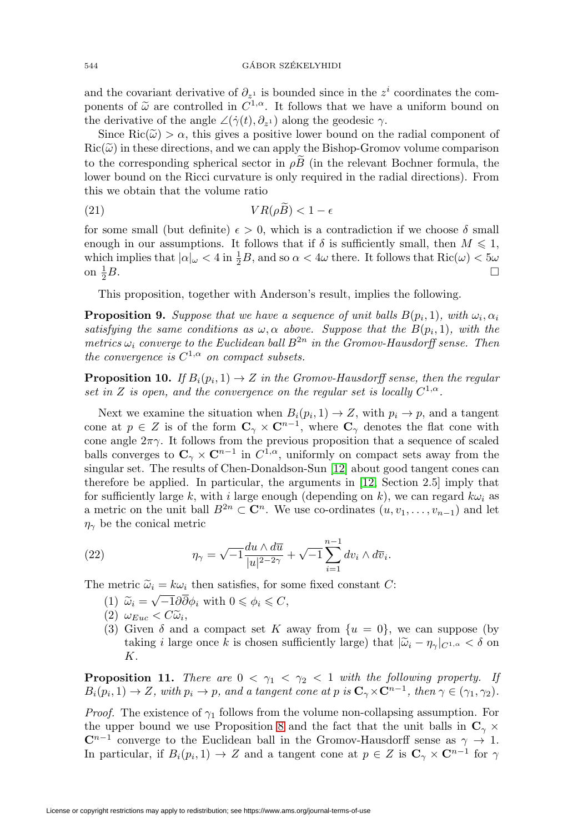and the covariant derivative of  $\partial_{z_1}$  is bounded since in the  $z^i$  coordinates the components of  $\tilde{\omega}$  are controlled in  $C^{1,\alpha}$ . It follows that we have a uniform bound on the derivative of the angle  $\angle(\dot{\gamma}(t), \partial_{z_1})$  along the geodesic  $\gamma$ .

Since  $\text{Ric}(\tilde{\omega}) > \alpha$ , this gives a positive lower bound on the radial component of  $Ric(\tilde{\omega})$  in these directions, and we can apply the Bishop-Gromov volume comparison to the corresponding spherical sector in  $\rho \vec{B}$  (in the relevant Bochner formula, the lower bound on the Ricci curvature is only required in the radial directions). From this we obtain that the volume ratio

(21) V R(ρB) < 1 −

for some small (but definite)  $\epsilon > 0$ , which is a contradiction if we choose  $\delta$  small enough in our assumptions. It follows that if  $\delta$  is sufficiently small, then  $M \leq 1$ , which implies that  $|\alpha|_{\omega} < 4$  in  $\frac{1}{2}B$ , and so  $\alpha < 4\omega$  there. It follows that  $\text{Ric}(\omega) < 5\omega$ on  $\frac{1}{2}B$ .  $\frac{1}{2}B$ .

This proposition, together with Anderson's result, implies the following.

**Proposition 9.** Suppose that we have a sequence of unit balls  $B(p_i, 1)$ , with  $\omega_i, \alpha_i$ satisfying the same conditions as  $\omega, \alpha$  above. Suppose that the  $B(p_i, 1)$ , with the metrics  $\omega_i$  converge to the Euclidean ball  $B^{2n}$  in the Gromov-Hausdorff sense. Then the convergence is  $C^{1,\alpha}$  on compact subsets.

**Proposition 10.** If  $B_i(p_i, 1) \to Z$  in the Gromov-Hausdorff sense, then the regular set in Z is open, and the convergence on the regular set is locally  $C^{1,\alpha}$ .

Next we examine the situation when  $B_i(p_i, 1) \to Z$ , with  $p_i \to p$ , and a tangent cone at  $p \in Z$  is of the form  $\mathbb{C}_{\gamma} \times \mathbb{C}^{n-1}$ , where  $\mathbb{C}_{\gamma}$  denotes the flat cone with cone angle  $2\pi\gamma$ . It follows from the previous proposition that a sequence of scaled balls converges to  $C_\gamma \times C^{n-1}$  in  $C^{1,\alpha}$ , uniformly on compact sets away from the singular set. The results of Chen-Donaldson-Sun [\[12\]](#page-21-1) about good tangent cones can therefore be applied. In particular, the arguments in [\[12,](#page-21-1) Section 2.5] imply that for sufficiently large k, with i large enough (depending on k), we can regard  $k\omega_i$  as a metric on the unit ball  $B^{2n} \subset \mathbb{C}^n$ . We use co-ordinates  $(u, v_1, \ldots, v_{n-1})$  and let  $\eta_{\gamma}$  be the conical metric

(22) 
$$
\eta_{\gamma} = \sqrt{-1} \frac{du \wedge d\overline{u}}{|u|^{2-2\gamma}} + \sqrt{-1} \sum_{i=1}^{n-1} dv_i \wedge d\overline{v}_i.
$$

The metric  $\tilde{\omega}_i = k\omega_i$  then satisfies, for some fixed constant C:

- (1)  $\widetilde{\omega}_i = \sqrt{-1} \partial \overline{\partial} \phi_i$  with  $0 \le \phi_i \le C$ ,
- $(2) \omega_{Euc} < C\tilde{\omega}_i,$
- (3) Given  $\delta$  and a compact set K away from  $\{u = 0\}$ , we can suppose (by taking i large once k is chosen sufficiently large) that  $|\widetilde{\omega}_i - \eta_{\gamma}|_{C^{1,\alpha}} < \delta$  on K.

<span id="page-7-0"></span>**Proposition 11.** There are  $0 < \gamma_1 < \gamma_2 < 1$  with the following property. If  $B_i(p_i, 1) \to Z$ , with  $p_i \to p$ , and a tangent cone at p is  $\mathbf{C}_\gamma \times \mathbf{C}^{n-1}$ , then  $\gamma \in (\gamma_1, \gamma_2)$ .

*Proof.* The existence of  $\gamma_1$  follows from the volume non-collapsing assumption. For the upper bound we use Proposition [8](#page-6-0) and the fact that the unit balls in  $\mathbb{C}_{\gamma}$  ×  $\mathbb{C}^{n-1}$  converge to the Euclidean ball in the Gromov-Hausdorff sense as  $\gamma \to 1$ . In particular, if  $B_i(p_i, 1) \to Z$  and a tangent cone at  $p \in Z$  is  $\mathbb{C}_{\gamma} \times \mathbb{C}^{n-1}$  for  $\gamma$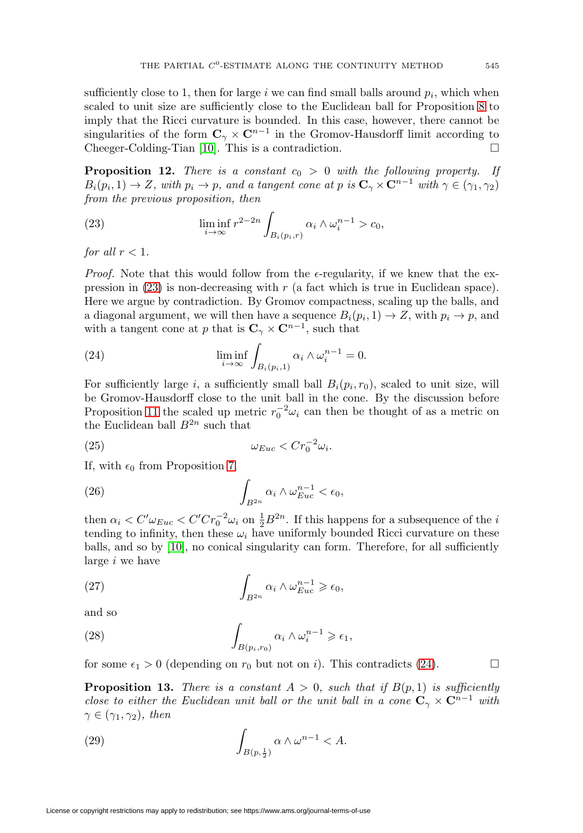sufficiently close to 1, then for large i we can find small balls around  $p_i$ , which when scaled to unit size are sufficiently close to the Euclidean ball for Proposition [8](#page-6-0) to imply that the Ricci curvature is bounded. In this case, however, there cannot be singularities of the form  $C_\gamma \times C^{n-1}$  in the Gromov-Hausdorff limit according to Cheeger-Colding-Tian [\[10\]](#page-21-7). This is a contradiction.  $\square$ 

<span id="page-8-2"></span>**Proposition 12.** There is a constant  $c_0 > 0$  with the following property. If  $B_i(p_i, 1) \to Z$ , with  $p_i \to p$ , and a tangent cone at p is  $\mathbb{C}_{\gamma} \times \mathbb{C}^{n-1}$  with  $\gamma \in (\gamma_1, \gamma_2)$ from the previous proposition, then

<span id="page-8-0"></span>(23) 
$$
\liminf_{i \to \infty} r^{2-2n} \int_{B_i(p_i,r)} \alpha_i \wedge \omega_i^{n-1} > c_0,
$$

for all  $r < 1$ .

*Proof.* Note that this would follow from the  $\epsilon$ -regularity, if we knew that the expression in  $(23)$  is non-decreasing with r (a fact which is true in Euclidean space). Here we argue by contradiction. By Gromov compactness, scaling up the balls, and a diagonal argument, we will then have a sequence  $B_i(p_i, 1) \to Z$ , with  $p_i \to p$ , and with a tangent cone at p that is  $C_\gamma \times C^{n-1}$ , such that

<span id="page-8-1"></span>(24) 
$$
\liminf_{i \to \infty} \int_{B_i(p_i, 1)} \alpha_i \wedge \omega_i^{n-1} = 0.
$$

For sufficiently large i, a sufficiently small ball  $B_i(p_i, r_0)$ , scaled to unit size, will be Gromov-Hausdorff close to the unit ball in the cone. By the discussion before Proposition [11](#page-7-0) the scaled up metric  $r_0^{-2}\omega_i$  can then be thought of as a metric on the Euclidean ball  $B^{2n}$  such that

$$
(25) \t\t \t\t \omega_{Euc} < Cr_0^{-2}\omega_i.
$$

If, with  $\epsilon_0$  from Proposition [7,](#page-4-0)

(26) 
$$
\int_{B^{2n}} \alpha_i \wedge \omega_{Euc}^{n-1} < \epsilon_0,
$$

then  $\alpha_i < C' \omega_{Euc} < C'Cr_0^{-2} \omega_i$  on  $\frac{1}{2}B^{2n}$ . If this happens for a subsequence of the *i* tending to infinity, then these  $\omega_i$  have uniformly bounded Ricci curvature on these balls, and so by [\[10\]](#page-21-7), no conical singularity can form. Therefore, for all sufficiently large i we have

(27) 
$$
\int_{B^{2n}} \alpha_i \wedge \omega_{Euc}^{n-1} \geq \epsilon_0,
$$

and so

(28) 
$$
\int_{B(p_i,r_0)} \alpha_i \wedge \omega_i^{n-1} \geq \epsilon_1,
$$

for some  $\epsilon_1 > 0$  (depending on  $r_0$  but not on *i*). This contradicts [\(24\)](#page-8-1).

<span id="page-8-3"></span>**Proposition 13.** There is a constant  $A > 0$ , such that if  $B(p, 1)$  is sufficiently close to either the Euclidean unit ball or the unit ball in a cone  $C_\gamma \times C^{n-1}$  with  $\gamma \in (\gamma_1, \gamma_2)$ , then

(29) 
$$
\int_{B(p,\frac{1}{2})} \alpha \wedge \omega^{n-1} < A.
$$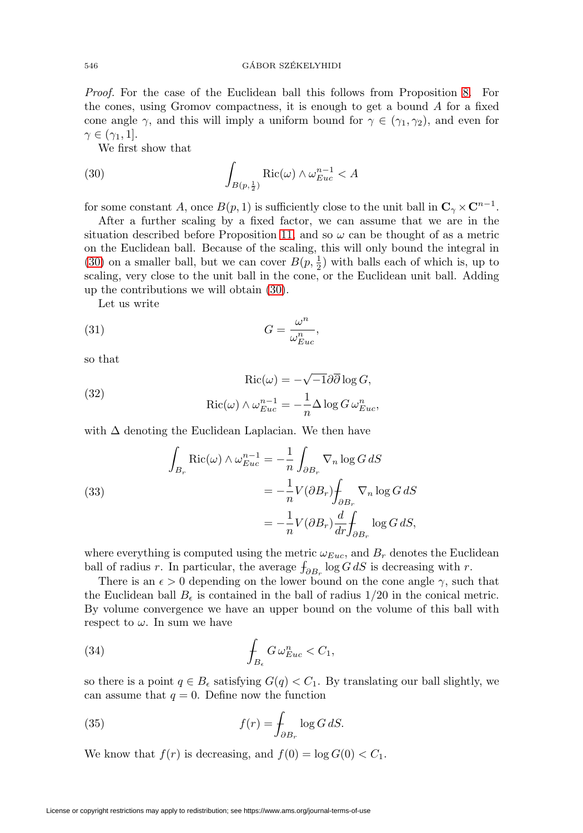Proof. For the case of the Euclidean ball this follows from Proposition [8.](#page-6-0) For the cones, using Gromov compactness, it is enough to get a bound  $A$  for a fixed cone angle  $\gamma$ , and this will imply a uniform bound for  $\gamma \in (\gamma_1, \gamma_2)$ , and even for  $\gamma \in (\gamma_1, 1].$ 

We first show that

<span id="page-9-0"></span>(30) 
$$
\int_{B(p,\frac{1}{2})} \text{Ric}(\omega) \wedge \omega_{Euc}^{n-1} < A
$$

for some constant A, once  $B(p, 1)$  is sufficiently close to the unit ball in  $\mathbf{C}_{\gamma} \times \mathbf{C}^{n-1}$ .

After a further scaling by a fixed factor, we can assume that we are in the situation described before Proposition [11,](#page-7-0) and so  $\omega$  can be thought of as a metric on the Euclidean ball. Because of the scaling, this will only bound the integral in [\(30\)](#page-9-0) on a smaller ball, but we can cover  $B(p, \frac{1}{2})$  with balls each of which is, up to scaling, very close to the unit ball in the cone, or the Euclidean unit ball. Adding up the contributions we will obtain [\(30\)](#page-9-0).

Let us write

(31) 
$$
G = \frac{\omega^n}{\omega_{Euc}^n},
$$

so that

(32) 
$$
Ric(\omega) = -\sqrt{-1}\partial\overline{\partial}\log G,
$$

$$
Ric(\omega) \wedge \omega_{Euc}^{n-1} = -\frac{1}{n}\Delta \log G \omega_{Euc}^n,
$$

with  $\Delta$  denoting the Euclidean Laplacian. We then have

<span id="page-9-1"></span>(33)  

$$
\int_{B_r} \text{Ric}(\omega) \wedge \omega_{Euc}^{n-1} = -\frac{1}{n} \int_{\partial B_r} \nabla_n \log G \, dS
$$

$$
= -\frac{1}{n} V(\partial B_r) \int_{\partial B_r} \nabla_n \log G \, dS
$$

$$
= -\frac{1}{n} V(\partial B_r) \frac{d}{dr} \int_{\partial B_r} \log G \, dS,
$$

where everything is computed using the metric  $\omega_{Euc}$ , and  $B_r$  denotes the Euclidean ball of radius r. In particular, the average  $f_{\partial B_r}$  log  $G dS$  is decreasing with r.

There is an  $\epsilon > 0$  depending on the lower bound on the cone angle  $\gamma$ , such that the Euclidean ball  $B_{\epsilon}$  is contained in the ball of radius  $1/20$  in the conical metric. By volume convergence we have an upper bound on the volume of this ball with respect to  $\omega$ . In sum we have

(34) 
$$
\int_{B_{\epsilon}} G \,\omega_{Euc}^n < C_1,
$$

so there is a point  $q \in B_{\epsilon}$  satisfying  $G(q) < C_1$ . By translating our ball slightly, we can assume that  $q = 0$ . Define now the function

(35) 
$$
f(r) = \int_{\partial B_r} \log G \, dS.
$$

We know that  $f(r)$  is decreasing, and  $f(0) = \log G(0) < C_1$ .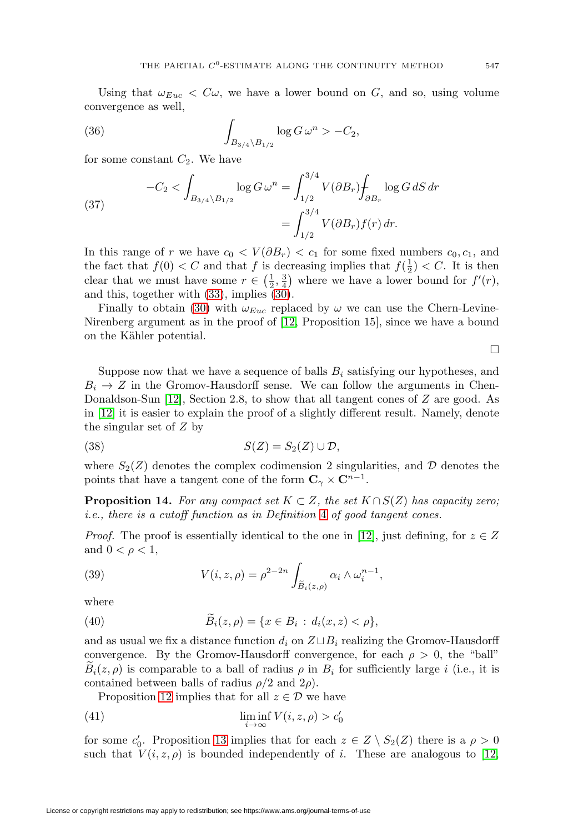Using that  $\omega_{Euc} < C\omega$ , we have a lower bound on G, and so, using volume convergence as well,

(36) 
$$
\int_{B_{3/4} \backslash B_{1/2}} \log G \, \omega^n > -C_2,
$$

for some constant  $C_2$ . We have

(37) 
$$
-C_2 < \int_{B_{3/4} \setminus B_{1/2}} \log G \, \omega^n = \int_{1/2}^{3/4} V(\partial B_r) \int_{\partial B_r} \log G \, dS \, dr
$$

$$
= \int_{1/2}^{3/4} V(\partial B_r) f(r) \, dr.
$$

In this range of r we have  $c_0 < V(\partial B_r) < c_1$  for some fixed numbers  $c_0, c_1$ , and the fact that  $f(0) < C$  and that f is decreasing implies that  $f(\frac{1}{2}) < C$ . It is then clear that we must have some  $r \in (\frac{1}{2}, \frac{3}{4})$  where we have a lower bound for  $f'(r)$ , and this, together with [\(33\)](#page-9-1), implies [\(30\)](#page-9-0).

Finally to obtain [\(30\)](#page-9-0) with  $\omega_{Euc}$  replaced by  $\omega$  we can use the Chern-Levine-Nirenberg argument as in the proof of [\[12,](#page-21-1) Proposition 15], since we have a bound on the Kähler potential.

 $\Box$ 

Suppose now that we have a sequence of balls  $B_i$  satisfying our hypotheses, and  $B_i \rightarrow Z$  in the Gromov-Hausdorff sense. We can follow the arguments in Chen-Donaldson-Sun [\[12\]](#page-21-1), Section 2.8, to show that all tangent cones of Z are good. As in [\[12\]](#page-21-1) it is easier to explain the proof of a slightly different result. Namely, denote the singular set of Z by

$$
(38) \t S(Z) = S_2(Z) \cup \mathcal{D},
$$

where  $S_2(Z)$  denotes the complex codimension 2 singularities, and D denotes the points that have a tangent cone of the form  $C_\gamma \times C^{n-1}$ .

**Proposition 14.** For any compact set  $K \subset Z$ , the set  $K \cap S(Z)$  has capacity zero; i.e., there is a cutoff function as in Definition [4](#page-4-2) of good tangent cones.

*Proof.* The proof is essentially identical to the one in [\[12\]](#page-21-1), just defining, for  $z \in Z$ and  $0 < \rho < 1$ ,

(39) 
$$
V(i, z, \rho) = \rho^{2-2n} \int_{\tilde{B}_i(z, \rho)} \alpha_i \wedge \omega_i^{n-1},
$$

where

(40) 
$$
\widetilde{B}_i(z,\rho) = \{x \in B_i : d_i(x,z) < \rho\},
$$

and as usual we fix a distance function  $d_i$  on  $Z \sqcup B_i$  realizing the Gromov-Hausdorff convergence. By the Gromov-Hausdorff convergence, for each  $\rho > 0$ , the "ball"  $B_i(z, \rho)$  is comparable to a ball of radius  $\rho$  in  $B_i$  for sufficiently large i (i.e., it is contained between balls of radius  $\rho/2$  and  $2\rho$ ).

Proposition [12](#page-8-2) implies that for all  $z \in \mathcal{D}$  we have

(41) 
$$
\liminf_{i \to \infty} V(i, z, \rho) > c'_0
$$

for some  $c'_0$ . Proposition [13](#page-8-3) implies that for each  $z \in Z \setminus S_2(Z)$  there is a  $\rho > 0$ such that  $V(i, z, \rho)$  is bounded independently of i. These are analogous to [\[12,](#page-21-1)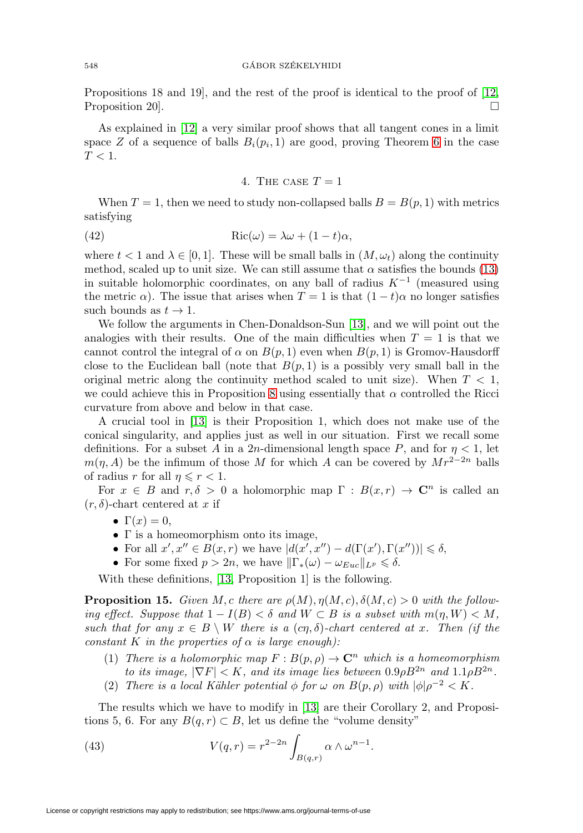Propositions 18 and 19], and the rest of the proof is identical to the proof of [\[12,](#page-21-1) Proposition 20.

<span id="page-11-0"></span>As explained in [\[12\]](#page-21-1) a very similar proof shows that all tangent cones in a limit space Z of a sequence of balls  $B_i(p_i, 1)$  are good, proving Theorem [6](#page-4-3) in the case  $T<1.$ 

# 4. THE CASE  $T = 1$

When  $T = 1$ , then we need to study non-collapsed balls  $B = B(p, 1)$  with metrics satisfying

<span id="page-11-2"></span>(42) 
$$
Ric(\omega) = \lambda \omega + (1 - t)\alpha,
$$

where  $t < 1$  and  $\lambda \in [0, 1]$ . These will be small balls in  $(M, \omega_t)$  along the continuity method, scaled up to unit size. We can still assume that  $\alpha$  satisfies the bounds [\(13\)](#page-5-1) in suitable holomorphic coordinates, on any ball of radius  $K^{-1}$  (measured using the metric  $\alpha$ ). The issue that arises when  $T = 1$  is that  $(1 - t)\alpha$  no longer satisfies such bounds as  $t \to 1$ .

We follow the arguments in Chen-Donaldson-Sun [\[13\]](#page-21-2), and we will point out the analogies with their results. One of the main difficulties when  $T = 1$  is that we cannot control the integral of  $\alpha$  on  $B(p, 1)$  even when  $B(p, 1)$  is Gromov-Hausdorff close to the Euclidean ball (note that  $B(p, 1)$  is a possibly very small ball in the original metric along the continuity method scaled to unit size). When  $T < 1$ , we could achieve this in Proposition [8](#page-6-0) using essentially that  $\alpha$  controlled the Ricci curvature from above and below in that case.

A crucial tool in [\[13\]](#page-21-2) is their Proposition 1, which does not make use of the conical singularity, and applies just as well in our situation. First we recall some definitions. For a subset A in a 2n-dimensional length space P, and for  $\eta < 1$ , let  $m(\eta, A)$  be the infimum of those M for which A can be covered by  $Mr^{2-2n}$  balls of radius r for all  $\eta \leqslant r < 1$ .

For  $x \in B$  and  $r, \delta > 0$  a holomorphic map  $\Gamma : B(x, r) \to \mathbb{C}^n$  is called an  $(r, \delta)$ -chart centered at x if

- $\Gamma(x) = 0$ ,
- $\bullet$   $\Gamma$  is a homeomorphism onto its image,
- For all  $x', x'' \in B(x,r)$  we have  $|d(x', x'') d(\Gamma(x'), \Gamma(x''))| \leq \delta$ ,
- For some fixed  $p > 2n$ , we have  $\|\Gamma_*(\omega) \omega_{Euc}\|_{L^p} \le \delta$ .

With these definitions, [\[13,](#page-21-2) Proposition 1] is the following.

<span id="page-11-1"></span>**Proposition 15.** Given M, c there are  $\rho(M)$ ,  $\eta(M, c)$ ,  $\delta(M, c) > 0$  with the following effect. Suppose that  $1 - I(B) < \delta$  and  $W \subset B$  is a subset with  $m(\eta, W) < M$ , such that for any  $x \in B \setminus W$  there is a  $(c\eta, \delta)$ -chart centered at x. Then (if the constant K in the properties of  $\alpha$  is large enough):

- (1) There is a holomorphic map  $F : B(p, \rho) \to \mathbb{C}^n$  which is a homeomorphism to its image,  $|\nabla F| < K$ , and its image lies between  $0.9 \rho B^{2n}$  and  $1.1 \rho B^{2n}$ .
- (2) There is a local Kähler potential  $\phi$  for  $\omega$  on  $B(p, \rho)$  with  $|\phi|\rho^{-2} < K$ .

The results which we have to modify in [\[13\]](#page-21-2) are their Corollary 2, and Propositions 5, 6. For any  $B(q, r) \subset B$ , let us define the "volume density"

(43) 
$$
V(q,r) = r^{2-2n} \int_{B(q,r)} \alpha \wedge \omega^{n-1}.
$$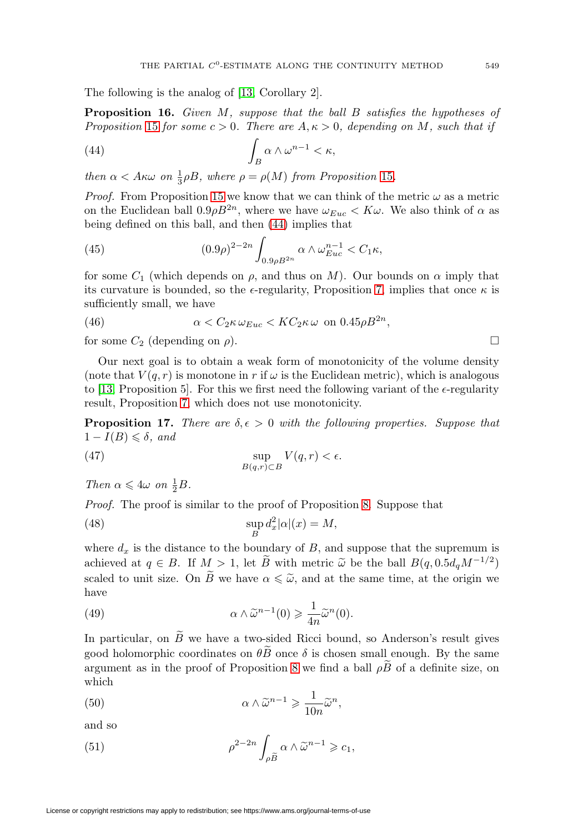The following is the analog of [\[13,](#page-21-2) Corollary 2].

<span id="page-12-3"></span>**Proposition 16.** Given M, suppose that the ball B satisfies the hypotheses of Proposition [15](#page-11-1) for some  $c > 0$ . There are  $A, \kappa > 0$ , depending on M, such that if

<span id="page-12-1"></span>(44) 
$$
\int_B \alpha \wedge \omega^{n-1} < \kappa,
$$

then  $\alpha < A \kappa \omega$  on  $\frac{1}{3} \rho B$ , where  $\rho = \rho(M)$  from Proposition [15](#page-11-1).

*Proof.* From Proposition [15](#page-11-1) we know that we can think of the metric  $\omega$  as a metric on the Euclidean ball  $0.9 \rho B^{2n}$ , where we have  $\omega_{Euc} < K \omega$ . We also think of  $\alpha$  as being defined on this ball, and then [\(44\)](#page-12-1) implies that

(45) 
$$
(0.9\rho)^{2-2n} \int_{0.9\rho B^{2n}} \alpha \wedge \omega_{Euc}^{n-1} < C_1 \kappa,
$$

for some  $C_1$  (which depends on  $\rho$ , and thus on M). Our bounds on  $\alpha$  imply that its curvature is bounded, so the  $\epsilon$ -regularity, Proposition [7,](#page-4-0) implies that once  $\kappa$  is sufficiently small, we have

(46) 
$$
\alpha < C_2 \kappa \,\omega_{Euc} < K C_2 \kappa \,\omega \text{ on } 0.45 \rho B^{2n},
$$

for some  $C_2$  (depending on  $\rho$ ).

Our next goal is to obtain a weak form of monotonicity of the volume density (note that  $V(q, r)$  is monotone in r if  $\omega$  is the Euclidean metric), which is analogous to [\[13,](#page-21-2) Proposition 5]. For this we first need the following variant of the  $\epsilon$ -regularity result, Proposition [7,](#page-4-0) which does not use monotonicity.

<span id="page-12-0"></span>**Proposition 17.** There are  $\delta, \epsilon > 0$  with the following properties. Suppose that  $1 - I(B) \leq \delta$ , and

<span id="page-12-2"></span>(47) 
$$
\sup_{B(q,r)\subset B} V(q,r) < \epsilon.
$$

Then  $\alpha \leqslant 4\omega$  on  $\frac{1}{2}B$ .

Proof. The proof is similar to the proof of Proposition [8.](#page-6-0) Suppose that

(48) 
$$
\sup_{B} d_x^2 |\alpha|(x) = M,
$$

where  $d_x$  is the distance to the boundary of B, and suppose that the supremum is achieved at  $q \in B$ . If  $M > 1$ , let B with metric  $\tilde{\omega}$  be the ball  $B(q, 0.5d_qM^{-1/2})$ scaled to unit size. On B we have  $\alpha \leq \tilde{\omega}$ , and at the same time, at the origin we have

(49) 
$$
\alpha \wedge \tilde{\omega}^{n-1}(0) \geq \frac{1}{4n} \tilde{\omega}^{n}(0).
$$

In particular, on  $\widetilde{B}$  we have a two-sided Ricci bound, so Anderson's result gives good holomorphic coordinates on  $\theta \tilde{B}$  once  $\delta$  is chosen small enough. By the same argument as in the proof of Proposition [8](#page-6-0) we find a ball  $\rho\widetilde{B}$  of a definite size, on which

(50) 
$$
\alpha \wedge \tilde{\omega}^{n-1} \geq \frac{1}{10n} \tilde{\omega}^n,
$$

and so

(51) 
$$
\rho^{2-2n} \int_{\rho \widetilde{B}} \alpha \wedge \widetilde{\omega}^{n-1} \geq c_1,
$$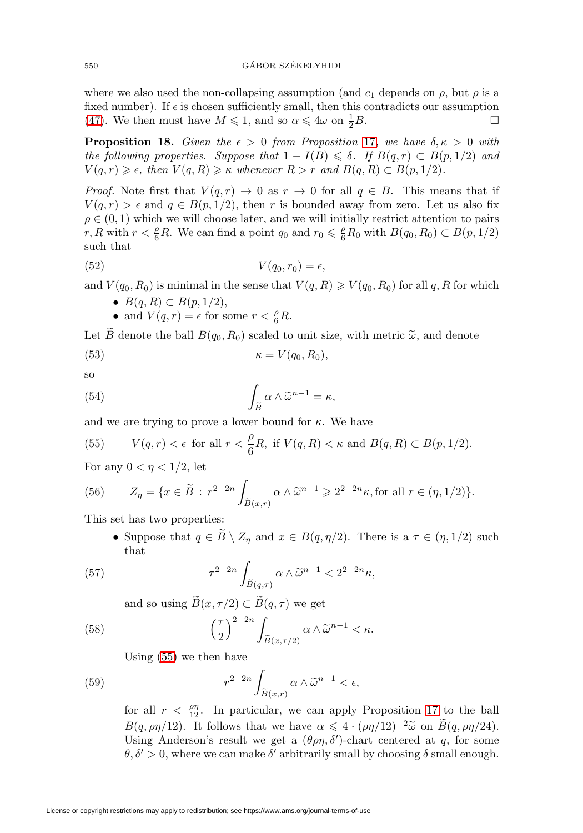where we also used the non-collapsing assumption (and  $c_1$  depends on  $\rho$ , but  $\rho$  is a fixed number). If  $\epsilon$  is chosen sufficiently small, then this contradicts our assumption [\(47\)](#page-12-2). We then must have  $M \leq 1$ , and so  $\alpha \leq 4\omega$  on  $\frac{1}{2}$  $\frac{1}{2}B$ .

<span id="page-13-2"></span>**Proposition 18.** Given the  $\epsilon > 0$  from Proposition [17](#page-12-0), we have  $\delta, \kappa > 0$  with the following properties. Suppose that  $1 - I(B) \leq \delta$ . If  $B(q, r) \subset B(p, 1/2)$  and  $V(q,r) \geq \epsilon$ , then  $V(q,R) \geq \kappa$  whenever  $R>r$  and  $B(q,R) \subset B(p,1/2)$ .

*Proof.* Note first that  $V(q, r) \rightarrow 0$  as  $r \rightarrow 0$  for all  $q \in B$ . This means that if  $V(q,r) > \epsilon$  and  $q \in B(p,1/2)$ , then r is bounded away from zero. Let us also fix  $\rho \in (0, 1)$  which we will choose later, and we will initially restrict attention to pairs r, R with  $r < \frac{\rho}{6}R$ . We can find a point  $q_0$  and  $r_0 \leq \frac{\rho}{6}R_0$  with  $B(q_0, R_0) \subset \overline{B}(p, 1/2)$ such that

$$
(52) \t\t V(q_0, r_0) = \epsilon,
$$

and  $V(q_0, R_0)$  is minimal in the sense that  $V(q, R) \geq V(q_0, R_0)$  for all q, R for which

- $B(q, R) \subset B(p, 1/2),$
- and  $V(q,r) = \epsilon$  for some  $r < \frac{\rho}{6}R$ .

Let B denote the ball  $B(q_0, R_0)$  scaled to unit size, with metric  $\tilde{\omega}$ , and denote

$$
(53) \t\t \t\t \kappa = V(q_0, R_0),
$$

<span id="page-13-1"></span>so

so  
(54) 
$$
\int_{\widetilde{B}} \alpha \wedge \widetilde{\omega}^{n-1} = \kappa,
$$

and we are trying to prove a lower bound for  $\kappa$ . We have

<span id="page-13-0"></span>(55) 
$$
V(q,r) < \epsilon
$$
 for all  $r < \frac{\rho}{6}R$ , if  $V(q,R) < \kappa$  and  $B(q,R) \subset B(p,1/2)$ .

For any  $0 < \eta < 1/2$ , let

For any 
$$
0 < \eta < 1/2
$$
, let  
\n
$$
(56) \qquad Z_{\eta} = \{x \in \widetilde{B} : r^{2-2n} \int_{\widetilde{B}(x,r)} \alpha \wedge \widetilde{\omega}^{n-1} \geq 2^{2-2n} \kappa, \text{for all } r \in (\eta, 1/2) \}.
$$

This set has two properties:

• Suppose that  $q \in \overline{B} \setminus Z_\eta$  and  $x \in B(q, \eta/2)$ . There is a  $\tau \in (\eta, 1/2)$  such that

Suppose that 
$$
q \in D \setminus \mathbb{Z}_\eta
$$
 and  $x \in D(q, \eta/2)$ . The  
\nthat

\n
$$
\tau^{2-2n} \int_{\widetilde{B}(q,\tau)} \alpha \wedge \widetilde{\omega}^{n-1} < 2^{2-2n} \kappa,
$$

and so using  $\widetilde{B}(x, \tau/2) \subset \widetilde{B}(q, \tau)$  we get

and so using 
$$
\widetilde{B}(x, \tau/2) \subset \widetilde{B}(q, \tau)
$$
 we get  
\n
$$
\left(\frac{\tau}{2}\right)^{2-2n} \int_{\widetilde{B}(x, \tau/2)} \alpha \wedge \widetilde{\omega}^{n-1} < \kappa.
$$

Using [\(55\)](#page-13-0) we then have

Using (55) we then have  
(59) 
$$
r^{2-2n}\int_{\widetilde{B}(x,r)}\alpha\wedge\widetilde{\omega}^{n-1}<\epsilon,
$$

for all  $r < \frac{\rho\eta}{12}$ . In particular, we can apply Proposition [17](#page-12-0) to the ball  $B(q, \rho\eta/12)$ . It follows that we have  $\alpha \leq 4 \cdot (\rho\eta/12)^{-2} \tilde{\omega}$  on  $B(q, \rho\eta/24)$ . Using Anderson's result we get a  $(\theta \rho \eta, \delta')$ -chart centered at q, for some  $\theta$ ,  $\delta' > 0$ , where we can make  $\delta'$  arbitrarily small by choosing  $\delta$  small enough.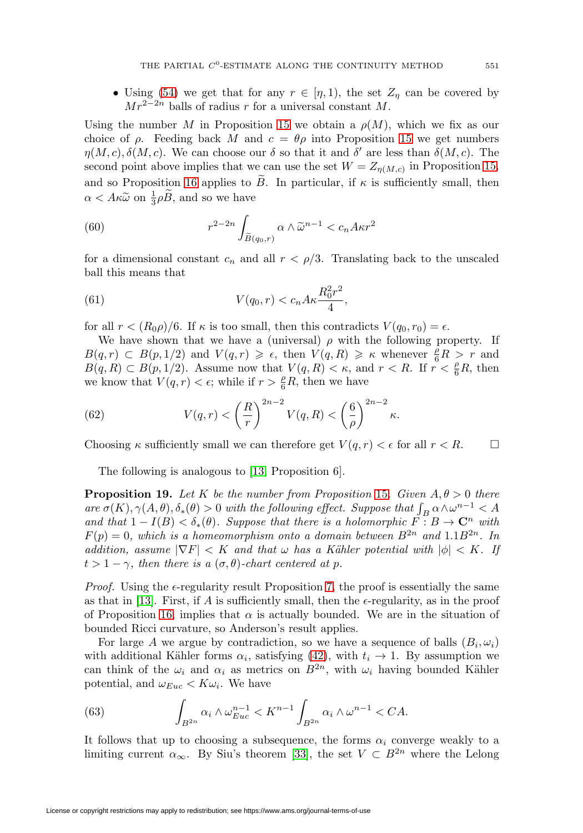• Using [\(54\)](#page-13-1) we get that for any  $r \in [\eta, 1)$ , the set  $Z_{\eta}$  can be covered by  $Mr^{2-2n}$  balls of radius r for a universal constant M.

Using the number M in Proposition [15](#page-11-1) we obtain a  $\rho(M)$ , which we fix as our choice of  $\rho$ . Feeding back M and  $c = \theta \rho$  into Proposition [15](#page-11-1) we get numbers  $\eta(M, c), \delta(M, c)$ . We can choose our  $\delta$  so that it and  $\delta'$  are less than  $\delta(M, c)$ . The second point above implies that we can use the set  $W = Z_{\eta(M,c)}$  in Proposition [15,](#page-11-1) and so Proposition [16](#page-12-3) applies to  $\ddot{B}$ . In particular, if  $\kappa$  is sufficiently small, then  $\alpha < A\kappa \tilde{\omega}$  on  $\frac{1}{3}\rho \tilde{B}$ , and so we have

$$
\alpha < A\kappa \tilde{\omega}
$$
 on  $\frac{1}{3}\rho \tilde{B}$ , and so we have  
(60) 
$$
r^{2-2n} \int_{\tilde{B}(q_0,r)} \alpha \wedge \tilde{\omega}^{n-1} < c_n A \kappa r^2
$$

for a dimensional constant  $c_n$  and all  $r < \rho/3$ . Translating back to the unscaled ball this means that

(61) 
$$
V(q_0, r) < c_n A \kappa \frac{R_0^2 r^2}{4},
$$

for all  $r < (R_0 \rho)/6$ . If  $\kappa$  is too small, then this contradicts  $V(q_0, r_0) = \epsilon$ .

We have shown that we have a (universal)  $\rho$  with the following property. If  $B(q,r) \subset B(p,1/2)$  and  $V(q,r) \geq \epsilon$ , then  $V(q,R) \geq \kappa$  whenever  $\frac{\ell}{6}R > r$  and  $B(q, R) \subset B(p, 1/2)$ . Assume now that  $V(q, R) < \kappa$ , and  $r < R$ . If  $r < \frac{\rho}{6}R$ , then we know that  $V(q,r) < \epsilon$ ; while if  $r > \frac{\rho}{6}R$ , then we have

(62) 
$$
V(q,r) < \left(\frac{R}{r}\right)^{2n-2} V(q,R) < \left(\frac{6}{\rho}\right)^{2n-2} \kappa.
$$

Choosing  $\kappa$  sufficiently small we can therefore get  $V(q,r) < \epsilon$  for all  $r < R$ .

The following is analogous to [\[13,](#page-21-2) Proposition 6].

<span id="page-14-1"></span>**Proposition 19.** Let K be the number from Proposition [15](#page-11-1). Given  $A, \theta > 0$  there are  $\sigma(K)$ ,  $\gamma(A, \theta)$ ,  $\delta_*(\theta) > 0$  with the following effect. Suppose that  $\int_B \alpha \wedge \omega^{n-1} < A$ and that  $1 - I(B) < \delta_*(\theta)$ . Suppose that there is a holomorphic  $\check{F} : B \to \mathbb{C}^n$  with  $F(p)=0$ , which is a homeomorphism onto a domain between  $B^{2n}$  and  $1.1B^{2n}$ . In addition, assume  $|\nabla F| < K$  and that  $\omega$  has a Kähler potential with  $|\phi| < K$ . If  $t > 1 - \gamma$ , then there is a  $(\sigma, \theta)$ -chart centered at p.

*Proof.* Using the  $\epsilon$ -regularity result Proposition [7,](#page-4-0) the proof is essentially the same as that in [\[13\]](#page-21-2). First, if A is sufficiently small, then the  $\epsilon$ -regularity, as in the proof of Proposition [16,](#page-12-3) implies that  $\alpha$  is actually bounded. We are in the situation of bounded Ricci curvature, so Anderson's result applies.

For large A we argue by contradiction, so we have a sequence of balls  $(B_i, \omega_i)$ with additional Kähler forms  $\alpha_i$ , satisfying [\(42\)](#page-11-2), with  $t_i \rightarrow 1$ . By assumption we can think of the  $\omega_i$  and  $\alpha_i$  as metrics on  $B^{2n}$ , with  $\omega_i$  having bounded Kähler potential, and  $\omega_{Euc} < K\omega_i$ . We have

<span id="page-14-0"></span>(63) 
$$
\int_{B^{2n}} \alpha_i \wedge \omega_{Euc}^{n-1} < K^{n-1} \int_{B^{2n}} \alpha_i \wedge \omega^{n-1} < CA.
$$

It follows that up to choosing a subsequence, the forms  $\alpha_i$  converge weakly to a limiting current  $\alpha_{\infty}$ . By Siu's theorem [\[33\]](#page-22-21), the set  $V \subset B^{2n}$  where the Lelong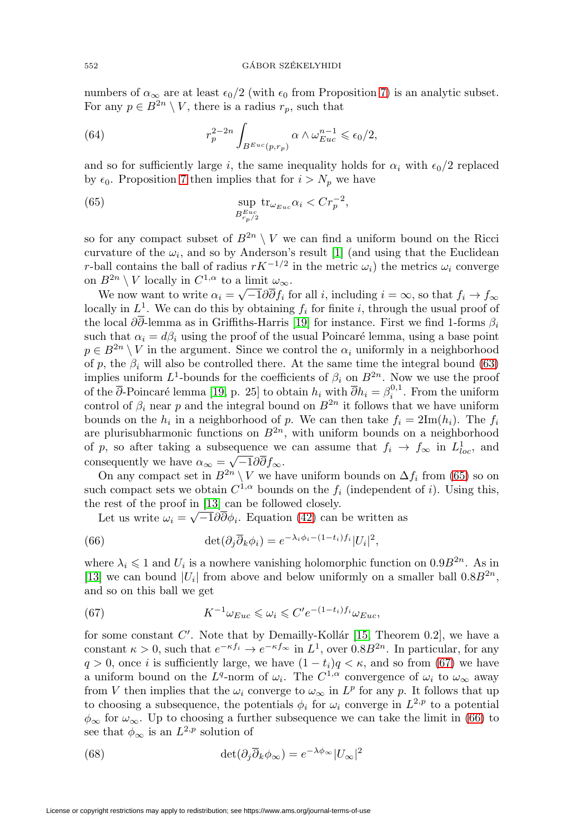numbers of  $\alpha_{\infty}$  are at least  $\epsilon_0/2$  (with  $\epsilon_0$  from Proposition [7\)](#page-4-0) is an analytic subset. For any  $p \in B^{2n} \setminus V$ , there is a radius  $r_p$ , such that

(64) 
$$
r_p^{2-2n} \int_{B^{Euc}(p,r_p)} \alpha \wedge \omega_{Euc}^{n-1} \leqslant \epsilon_0/2,
$$

and so for sufficiently large *i*, the same inequality holds for  $\alpha_i$  with  $\epsilon_0/2$  replaced by  $\epsilon_0$ . Proposition [7](#page-4-0) then implies that for  $i>N_p$  we have

<span id="page-15-0"></span>(65) 
$$
\sup_{B_{r_p/2}^{E_{uc}}} tr_{\omega_{Euc}} \alpha_i < Cr_p^{-2},
$$

so for any compact subset of  $B^{2n} \setminus V$  we can find a uniform bound on the Ricci curvature of the  $\omega_i$ , and so by Anderson's result [\[1\]](#page-21-4) (and using that the Euclidean r-ball contains the ball of radius  $rK^{-1/2}$  in the metric  $\omega_i$ ) the metrics  $\omega_i$  converge on  $B^{2n} \setminus V$  locally in  $C^{1,\alpha}$  to a limit  $\omega_{\infty}$ .

We now want to write  $\alpha_i = \sqrt{-1}\partial \overline{\partial} f_i$  for all i, including  $i = \infty$ , so that  $f_i \to f_\infty$ locally in  $L^1$ . We can do this by obtaining  $f_i$  for finite i, through the usual proof of the local  $\partial \overline{\partial}$ -lemma as in Griffiths-Harris [\[19\]](#page-22-22) for instance. First we find 1-forms  $\beta_i$ such that  $\alpha_i = d\beta_i$  using the proof of the usual Poincaré lemma, using a base point  $p \in B^{2n} \setminus V$  in the argument. Since we control the  $\alpha_i$  uniformly in a neighborhood of p, the  $\beta_i$  will also be controlled there. At the same time the integral bound [\(63\)](#page-14-0) implies uniform  $L^1$ -bounds for the coefficients of  $\beta_i$  on  $B^{2n}$ . Now we use the proof of the  $\overline{\partial}$ -Poincaré lemma [\[19,](#page-22-22) p. 25] to obtain  $h_i$  with  $\overline{\partial} h_i = \beta_i^{0,1}$ . From the uniform control of  $\beta_i$  near p and the integral bound on  $B^{2n}$  it follows that we have uniform bounds on the  $h_i$  in a neighborhood of p. We can then take  $f_i = 2\text{Im}(h_i)$ . The  $f_i$ are plurisubharmonic functions on  $B^{2n}$ , with uniform bounds on a neighborhood of p, so after taking a subsequence we can assume that  $f_i \to f_\infty$  in  $L^1_{loc}$ , and consequently we have  $\alpha_{\infty} = \sqrt{-1} \partial \overline{\partial} f_{\infty}$ .

On any compact set in  $B^{2n} \setminus V$  we have uniform bounds on  $\Delta f_i$  from [\(65\)](#page-15-0) so on such compact sets we obtain  $C^{1,\alpha}$  bounds on the  $f_i$  (independent of i). Using this, the rest of the proof in [\[13\]](#page-21-2) can be followed closely.

Let us write  $\omega_i = \sqrt{-1} \partial \overline{\partial} \phi_i$ . Equation [\(42\)](#page-11-2) can be written as

<span id="page-15-2"></span>(66) 
$$
\det(\partial_j \overline{\partial}_k \phi_i) = e^{-\lambda_i \phi_i - (1 - t_i) f_i} |U_i|^2,
$$

where  $\lambda_i \leq 1$  and  $U_i$  is a nowhere vanishing holomorphic function on  $0.9B^{2n}$ . As in [\[13\]](#page-21-2) we can bound  $|U_i|$  from above and below uniformly on a smaller ball  $0.8B^{2n}$ , and so on this ball we get

<span id="page-15-1"></span>(67) 
$$
K^{-1}\omega_{Euc} \leqslant \omega_i \leqslant C'e^{-(1-t_i)f_i}\omega_{Euc},
$$

for some constant  $C'$ . Note that by Demailly-Kollár [\[15,](#page-21-11) Theorem 0.2], we have a constant  $\kappa > 0$ , such that  $e^{-\kappa f_i} \to e^{-\kappa f_\infty}$  in  $L^1$ , over  $0.8B^{2n}$ . In particular, for any  $q > 0$ , once i is sufficiently large, we have  $(1 - t_i)q < \kappa$ , and so from [\(67\)](#page-15-1) we have a uniform bound on the L<sup>q</sup>-norm of  $\omega_i$ . The C<sup>1, $\alpha$ </sup> convergence of  $\omega_i$  to  $\omega_{\infty}$  away from V then implies that the  $\omega_i$  converge to  $\omega_{\infty}$  in  $L^p$  for any p. It follows that up to choosing a subsequence, the potentials  $\phi_i$  for  $\omega_i$  converge in  $L^{2,p}$  to a potential  $\phi_{\infty}$  for  $\omega_{\infty}$ . Up to choosing a further subsequence we can take the limit in [\(66\)](#page-15-2) to see that  $\phi_{\infty}$  is an  $L^{2,p}$  solution of

(68) 
$$
\det(\partial_j \overline{\partial}_k \phi_\infty) = e^{-\lambda \phi_\infty} |U_\infty|^2
$$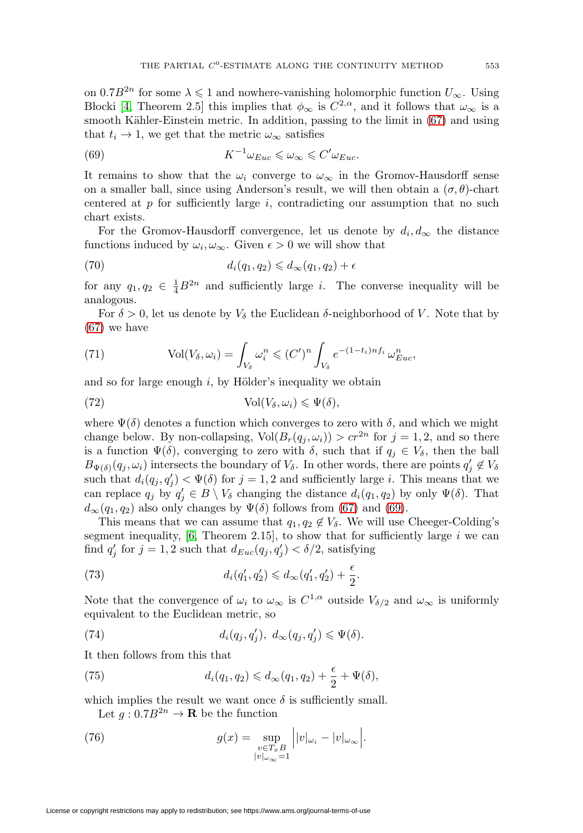on  $0.7B^{2n}$  for some  $\lambda \leq 1$  and nowhere-vanishing holomorphic function  $U_{\infty}$ . Using Blocki [\[4,](#page-21-12) Theorem 2.5] this implies that  $\phi_{\infty}$  is  $C^{2,\alpha}$ , and it follows that  $\omega_{\infty}$  is a smooth Kähler-Einstein metric. In addition, passing to the limit in [\(67\)](#page-15-1) and using that  $t_i \rightarrow 1$ , we get that the metric  $\omega_{\infty}$  satisfies

<span id="page-16-0"></span>(69) 
$$
K^{-1}\omega_{Euc} \leq \omega_{\infty} \leq C'\omega_{Euc}.
$$

It remains to show that the  $\omega_i$  converge to  $\omega_{\infty}$  in the Gromov-Hausdorff sense on a smaller ball, since using Anderson's result, we will then obtain a  $(\sigma, \theta)$ -chart centered at p for sufficiently large i, contradicting our assumption that no such chart exists.

For the Gromov-Hausdorff convergence, let us denote by  $d_i, d_\infty$  the distance functions induced by  $\omega_i, \omega_\infty$ . Given  $\epsilon > 0$  we will show that

<span id="page-16-1"></span>(70) 
$$
d_i(q_1, q_2) \leq d_\infty(q_1, q_2) + \epsilon
$$

for any  $q_1, q_2 \in \frac{1}{4}B^{2n}$  and sufficiently large *i*. The converse inequality will be analogous.

For  $\delta > 0$ , let us denote by  $V_{\delta}$  the Euclidean  $\delta$ -neighborhood of V. Note that by [\(67\)](#page-15-1) we have

(71) 
$$
\text{Vol}(V_{\delta}, \omega_i) = \int_{V_{\delta}} \omega_i^n \leq (C')^n \int_{V_{\delta}} e^{-(1-t_i)n f_i} \omega_{Euc}^n,
$$

and so for large enough  $i$ , by Hölder's inequality we obtain

(72) 
$$
\text{Vol}(V_{\delta}, \omega_i) \leqslant \Psi(\delta),
$$

where  $\Psi(\delta)$  denotes a function which converges to zero with  $\delta$ , and which we might change below. By non-collapsing,  $Vol(B_r(q_i, \omega_i)) > cr^{2n}$  for  $j = 1, 2$ , and so there is a function  $\Psi(\delta)$ , converging to zero with  $\delta$ , such that if  $q_j \in V_\delta$ , then the ball  $B_{\Psi(\delta)}(q_j,\omega_i)$  intersects the boundary of  $V_{\delta}$ . In other words, there are points  $q'_j \notin V_{\delta}$ such that  $d_i(q_j, q'_j) < \Psi(\delta)$  for  $j = 1, 2$  and sufficiently large i. This means that we can replace  $q_j$  by  $q'_j \in B \setminus V_\delta$  changing the distance  $d_i(q_1, q_2)$  by only  $\Psi(\delta)$ . That  $d_{\infty}(q_1, q_2)$  also only changes by  $\Psi(\delta)$  follows from [\(67\)](#page-15-1) and [\(69\)](#page-16-0).

This means that we can assume that  $q_1, q_2 \notin V_\delta$ . We will use Cheeger-Colding's segment inequality,  $[6,$  Theorem 2.15], to show that for sufficiently large i we can find  $q'_{j}$  for  $j = 1, 2$  such that  $d_{Euc}(q_j, q'_{j}) < \delta/2$ , satisfying

(73) 
$$
d_i(q'_1, q'_2) \leq d_{\infty}(q'_1, q'_2) + \frac{\epsilon}{2}.
$$

Note that the convergence of  $\omega_i$  to  $\omega_\infty$  is  $C^{1,\alpha}$  outside  $V_{\delta/2}$  and  $\omega_\infty$  is uniformly equivalent to the Euclidean metric, so

(74) 
$$
d_i(q_j, q'_j), \ d_\infty(q_j, q'_j) \leqslant \Psi(\delta).
$$

It then follows from this that

(75) 
$$
d_i(q_1, q_2) \leq d_\infty(q_1, q_2) + \frac{\epsilon}{2} + \Psi(\delta),
$$

which implies the result we want once  $\delta$  is sufficiently small.

Let  $q: 0.7B^{2n} \to \mathbf{R}$  be the function

(76) 
$$
g(x) = \sup_{\substack{v \in T_x B \\ |v|_{\omega_{\infty}} = 1}} |v|_{\omega_i} - |v|_{\omega_{\infty}}|.
$$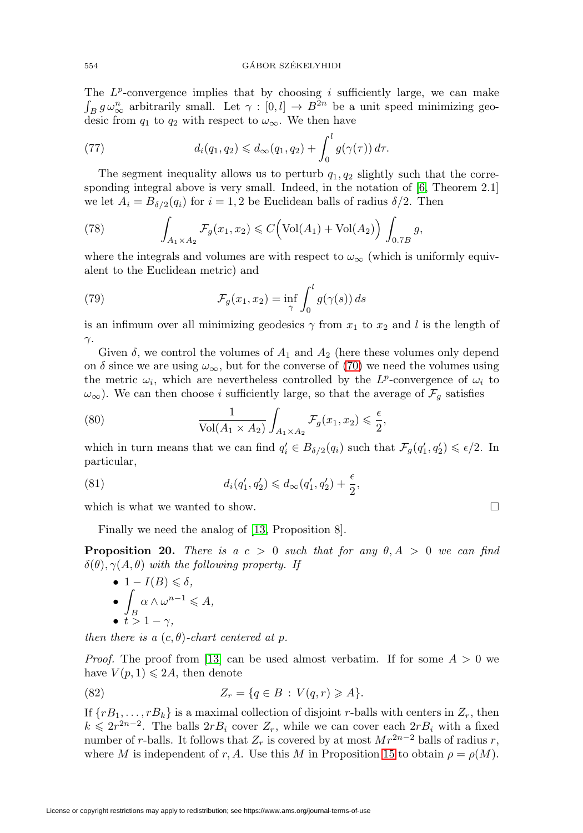The  $L^p$ -convergence implies that by choosing i sufficiently large, we can make  $\int_B g \omega_{\infty}^n$  arbitrarily small. Let  $\gamma : [0, l] \to B^{2n}$  be a unit speed minimizing geodesic from  $q_1$  to  $q_2$  with respect to  $\omega_{\infty}$ . We then have

(77) 
$$
d_i(q_1,q_2) \leq d_\infty(q_1,q_2) + \int_0^l g(\gamma(\tau)) d\tau.
$$

The segment inequality allows us to perturb  $q_1, q_2$  slightly such that the corresponding integral above is very small. Indeed, in the notation of [\[6,](#page-21-9) Theorem 2.1] we let  $A_i = B_{\delta/2}(q_i)$  for  $i = 1, 2$  be Euclidean balls of radius  $\delta/2$ . Then

(78) 
$$
\int_{A_1 \times A_2} \mathcal{F}_g(x_1, x_2) \leq C \Big( \text{Vol}(A_1) + \text{Vol}(A_2) \Big) \int_{0.7B} g,
$$

where the integrals and volumes are with respect to  $\omega_{\infty}$  (which is uniformly equivalent to the Euclidean metric) and

(79) 
$$
\mathcal{F}_g(x_1, x_2) = \inf_{\gamma} \int_0^l g(\gamma(s)) ds
$$

is an infimum over all minimizing geodesics  $\gamma$  from  $x_1$  to  $x_2$  and l is the length of  $\gamma$ .

Given  $\delta$ , we control the volumes of  $A_1$  and  $A_2$  (here these volumes only depend on  $\delta$  since we are using  $\omega_{\infty}$ , but for the converse of [\(70\)](#page-16-1) we need the volumes using the metric  $\omega_i$ , which are nevertheless controlled by the L<sup>p</sup>-convergence of  $\omega_i$  to  $\omega_{\infty}$ ). We can then choose *i* sufficiently large, so that the average of  $\mathcal{F}_g$  satisfies

(80) 
$$
\frac{1}{\text{Vol}(A_1 \times A_2)} \int_{A_1 \times A_2} \mathcal{F}_g(x_1, x_2) \leq \frac{\epsilon}{2},
$$

which in turn means that we can find  $q'_i \in B_{\delta/2}(q_i)$  such that  $\mathcal{F}_g(q'_1, q'_2) \leq \epsilon/2$ . In particular,

(81) 
$$
d_i(q'_1, q'_2) \leq d_{\infty}(q'_1, q'_2) + \frac{\epsilon}{2},
$$

which is what we wanted to show.  $\Box$ 

Finally we need the analog of [\[13,](#page-21-2) Proposition 8].

<span id="page-17-0"></span>**Proposition 20.** There is a  $c > 0$  such that for any  $\theta, A > 0$  we can find  $\delta(\theta), \gamma(A, \theta)$  with the following property. If

\n- \n
$$
1 - I(B) \leq \delta,
$$
\n
\n- \n
$$
\int_B \alpha \wedge \omega^{n-1} \leq A,
$$
\n
\n- \n
$$
t > 1 - \gamma,
$$
\n
\n

then there is a  $(c, \theta)$ -chart centered at p.

*Proof.* The proof from [\[13\]](#page-21-2) can be used almost verbatim. If for some  $A > 0$  we have  $V(p, 1) \leqslant 2A$ , then denote

<span id="page-17-1"></span>(82) 
$$
Z_r = \{q \in B : V(q,r) \geq A\}.
$$

If  $\{rB_1,\ldots,rB_k\}$  is a maximal collection of disjoint r-balls with centers in  $Z_r$ , then  $k \leq 2r^{2n-2}$ . The balls  $2rB_i$  cover  $Z_r$ , while we can cover each  $2rB_i$  with a fixed number of r-balls. It follows that  $Z_r$  is covered by at most  $Mr^{2n-2}$  balls of radius r, where M is independent of r, A. Use this M in Proposition [15](#page-11-1) to obtain  $\rho = \rho(M)$ .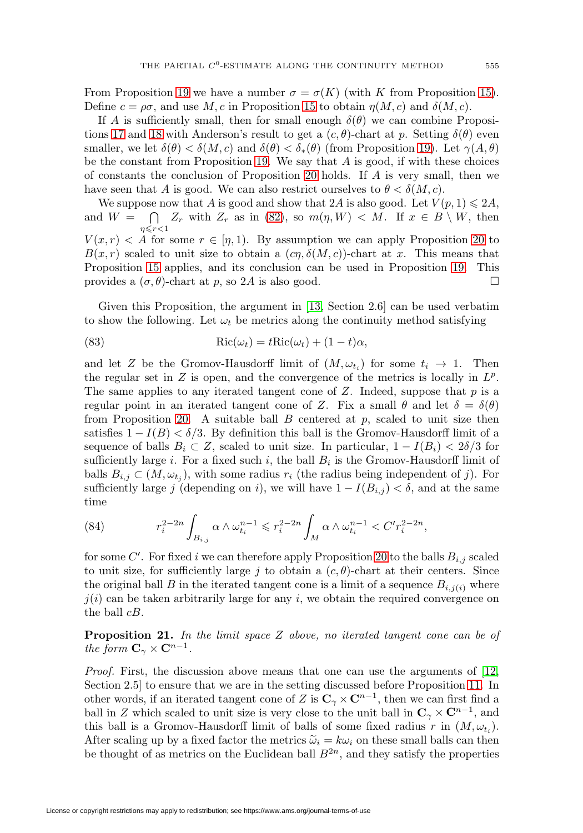From Proposition [19](#page-14-1) we have a number  $\sigma = \sigma(K)$  (with K from Proposition [15\)](#page-11-1). Define  $c = \rho \sigma$ , and use M, c in Proposition [15](#page-11-1) to obtain  $\eta(M, c)$  and  $\delta(M, c)$ .

If A is sufficiently small, then for small enough  $\delta(\theta)$  we can combine Proposi-tions [17](#page-12-0) and [18](#page-13-2) with Anderson's result to get a  $(c, \theta)$ -chart at p. Setting  $\delta(\theta)$  even smaller, we let  $\delta(\theta) < \delta(M, c)$  and  $\delta(\theta) < \delta_*(\theta)$  (from Proposition [19\)](#page-14-1). Let  $\gamma(A, \theta)$ be the constant from Proposition [19.](#page-14-1) We say that  $A$  is good, if with these choices of constants the conclusion of Proposition [20](#page-17-0) holds. If A is very small, then we have seen that A is good. We can also restrict ourselves to  $\theta < \delta(M, c)$ .

We suppose now that A is good and show that 2A is also good. Let  $V(p, 1) \leq 2A$ , and  $W =$  $\eta \leqslant r < 1$  $\bigcap Z_r$  with  $Z_r$  as in [\(82\)](#page-17-1), so  $m(\eta, W) < M$ . If  $x \in B \setminus W$ , then

 $V(x,r) < A$  for some  $r \in [\eta,1)$ . By assumption we can apply Proposition [20](#page-17-0) to  $B(x, r)$  scaled to unit size to obtain a  $(c\eta, \delta(M, c))$ -chart at x. This means that Proposition [15](#page-11-1) applies, and its conclusion can be used in Proposition [19.](#page-14-1) This provides a  $(\sigma, \theta)$ -chart at p, so 2A is also good.

Given this Proposition, the argument in [\[13,](#page-21-2) Section 2.6] can be used verbatim to show the following. Let  $\omega_t$  be metrics along the continuity method satisfying

(83) 
$$
Ric(\omega_t) = tRic(\omega_t) + (1-t)\alpha,
$$

and let Z be the Gromov-Hausdorff limit of  $(M, \omega_{t_i})$  for some  $t_i \to 1$ . Then the regular set in Z is open, and the convergence of the metrics is locally in  $L^p$ . The same applies to any iterated tangent cone of  $Z$ . Indeed, suppose that  $p$  is a regular point in an iterated tangent cone of Z. Fix a small  $\theta$  and let  $\delta = \delta(\theta)$ from Proposition [20.](#page-17-0) A suitable ball  $B$  centered at  $p$ , scaled to unit size then satisfies  $1 - I(B) < \delta/3$ . By definition this ball is the Gromov-Hausdorff limit of a sequence of balls  $B_i \subset Z$ , scaled to unit size. In particular,  $1 - I(B_i) < 2\delta/3$  for sufficiently large i. For a fixed such i, the ball  $B_i$  is the Gromov-Hausdorff limit of balls  $B_{i,j} \subset (M, \omega_{t_i})$ , with some radius  $r_i$  (the radius being independent of j). For sufficiently large j (depending on i), we will have  $1 - I(B_{i,j}) < \delta$ , and at the same time

(84) 
$$
r_i^{2-2n} \int_{B_{i,j}} \alpha \wedge \omega_{t_i}^{n-1} \leq r_i^{2-2n} \int_M \alpha \wedge \omega_{t_i}^{n-1} < C'r_i^{2-2n},
$$

for some  $C'$ . For fixed i we can therefore apply Proposition [20](#page-17-0) to the balls  $B_{i,j}$  scaled to unit size, for sufficiently large j to obtain a  $(c, \theta)$ -chart at their centers. Since the original ball B in the iterated tangent cone is a limit of a sequence  $B_{i,j(i)}$  where  $j(i)$  can be taken arbitrarily large for any i, we obtain the required convergence on the ball cB.

**Proposition 21.** In the limit space Z above, no iterated tangent cone can be of the form  $\mathbf{C}_{\gamma} \times \mathbf{C}^{n-1}$ .

Proof. First, the discussion above means that one can use the arguments of [\[12,](#page-21-1) Section 2.5] to ensure that we are in the setting discussed before Proposition [11.](#page-7-0) In other words, if an iterated tangent cone of Z is  $C_\gamma \times C^{n-1}$ , then we can first find a ball in Z which scaled to unit size is very close to the unit ball in  $\mathbb{C}_{\gamma} \times \mathbb{C}^{n-1}$ , and this ball is a Gromov-Hausdorff limit of balls of some fixed radius r in  $(M, \omega_t)$ . After scaling up by a fixed factor the metrics  $\tilde{\omega}_i = k\omega_i$  on these small balls can then be thought of as metrics on the Euclidean ball  $B^{2n}$ , and they satisfy the properties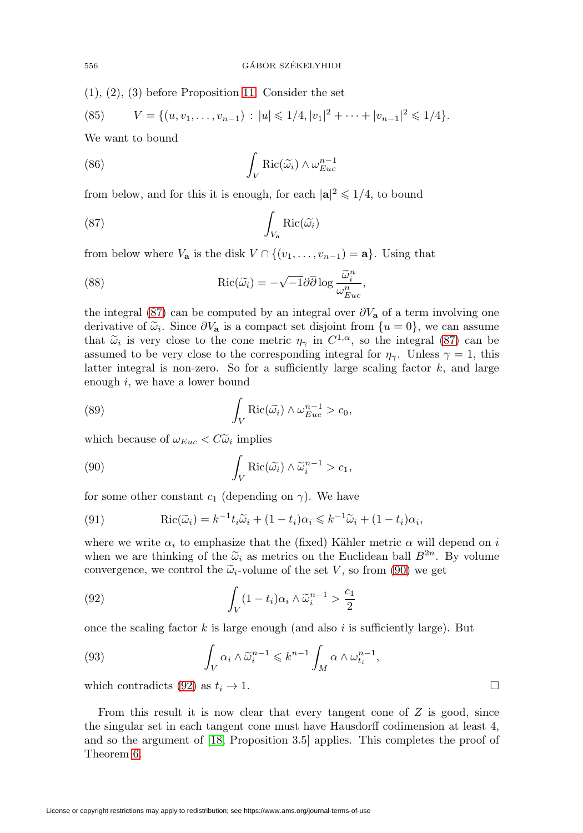(1), (2), (3) before Proposition [11.](#page-7-0) Consider the set

(85) 
$$
V = \{(u, v_1, \dots, v_{n-1}) : |u| \leq 1/4, |v_1|^2 + \dots + |v_{n-1}|^2 \leq 1/4\}.
$$

We want to bound

(86) 
$$
\int_{V} \text{Ric}(\widetilde{\omega_{i}}) \wedge \omega_{Euc}^{n-1}
$$

from below, and for this it is enough, for each  $|\mathbf{a}|^2 \leq 1/4$ , to bound

<span id="page-19-0"></span>(87) 
$$
\int_{V_{\mathbf{a}}} \text{Ric}(\widetilde{\omega_i})
$$

from below where  $V_{\mathbf{a}}$  is the disk  $V \cap \{(v_1,\ldots,v_{n-1}) = \mathbf{a}\}\)$ . Using that

(88) 
$$
\operatorname{Ric}(\widetilde{\omega_i}) = -\sqrt{-1}\partial\overline{\partial}\log\frac{\widetilde{\omega_i}^n}{\omega_{Euc}^n},
$$

the integral [\(87\)](#page-19-0) can be computed by an integral over  $\partial V_{\mathbf{a}}$  of a term involving one derivative of  $\tilde{\omega}_i$ . Since  $\partial V_a$  is a compact set disjoint from  $\{u=0\}$ , we can assume that  $\tilde{\omega}_i$  is very close to the cone metric  $\eta_\gamma$  in  $C^{1,\alpha}$ , so the integral [\(87\)](#page-19-0) can be assumed to be very close to the corresponding integral for  $\eta_{\gamma}$ . Unless  $\gamma = 1$ , this latter integral is non-zero. So for a sufficiently large scaling factor  $k$ , and large enough i, we have a lower bound

(89) 
$$
\int_{V} \text{Ric}(\widetilde{\omega_{i}}) \wedge \omega_{Euc}^{n-1} > c_{0},
$$

which because of  $\omega_{Euc} < C\tilde{\omega}_i$  implies

<span id="page-19-1"></span>(90) 
$$
\int_{V} \text{Ric}(\widetilde{\omega_i}) \wedge \widetilde{\omega_i}^{n-1} > c_1,
$$

for some other constant  $c_1$  (depending on  $\gamma$ ). We have

(91) 
$$
\operatorname{Ric}(\widetilde{\omega}_i) = k^{-1} t_i \widetilde{\omega}_i + (1 - t_i) \alpha_i \leq k^{-1} \widetilde{\omega}_i + (1 - t_i) \alpha_i,
$$

where we write  $\alpha_i$  to emphasize that the (fixed) Kähler metric  $\alpha$  will depend on i when we are thinking of the  $\tilde{\omega}_i$  as metrics on the Euclidean ball  $B^{2n}$ . By volume convergence, we control the  $\tilde{\omega}_i$ -volume of the set V, so from [\(90\)](#page-19-1) we get

<span id="page-19-2"></span>(92) 
$$
\int_{V} (1-t_i)\alpha_i \wedge \tilde{\omega}_i^{n-1} > \frac{c_1}{2}
$$

once the scaling factor  $k$  is large enough (and also i is sufficiently large). But

(93) 
$$
\int_{V} \alpha_{i} \wedge \tilde{\omega}_{i}^{n-1} \leqslant k^{n-1} \int_{M} \alpha \wedge \omega_{t_{i}}^{n-1},
$$

which contradicts [\(92\)](#page-19-2) as  $t_i \to 1$ .

From this result it is now clear that every tangent cone of  $Z$  is good, since the singular set in each tangent cone must have Hausdorff codimension at least 4, and so the argument of [\[18,](#page-22-15) Proposition 3.5] applies. This completes the proof of Theorem [6.](#page-4-3)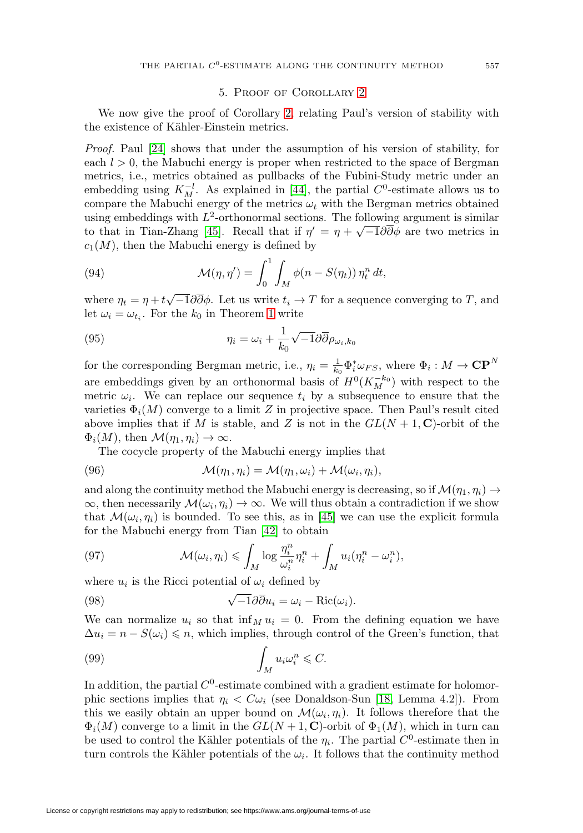## 5. Proof of Corollary [2](#page-1-0)

<span id="page-20-0"></span>We now give the proof of Corollary [2,](#page-1-0) relating Paul's version of stability with the existence of Kähler-Einstein metrics.

Proof. Paul [\[24\]](#page-22-23) shows that under the assumption of his version of stability, for each  $l > 0$ , the Mabuchi energy is proper when restricted to the space of Bergman metrics, i.e., metrics obtained as pullbacks of the Fubini-Study metric under an embedding using  $K_M^{-l}$ . As explained in [\[44\]](#page-23-2), the partial  $C^0$ -estimate allows us to compare the Mabuchi energy of the metrics  $\omega_t$  with the Bergman metrics obtained using embeddings with  $L^2$ -orthonormal sections. The following argument is similar to that in Tian-Zhang [\[45\]](#page-23-4). Recall that if  $\eta' = \eta + \sqrt{-1}\partial\overline{\partial}\phi$  are two metrics in  $c_1(M)$ , then the Mabuchi energy is defined by

(94) 
$$
\mathcal{M}(\eta, \eta') = \int_0^1 \int_M \phi(n - S(\eta_t)) \, \eta_t^n \, dt,
$$

where  $\eta_t = \eta + t\sqrt{-1}\partial\overline{\partial}\phi$ . Let us write  $t_i \to T$  for a sequence converging to T, and let  $\omega_i = \omega_{t_i}$ . For the  $k_0$  in Theorem [1](#page-0-1) write

(95) 
$$
\eta_i = \omega_i + \frac{1}{k_0} \sqrt{-1} \partial \overline{\partial} \rho_{\omega_i, k_0}
$$

for the corresponding Bergman metric, i.e.,  $\eta_i = \frac{1}{k_0} \Phi_i^* \omega_{FS}$ , where  $\Phi_i : M \to \mathbb{CP}^N$ are embeddings given by an orthonormal basis of  $H^0(K_M^{-k_0})$  with respect to the metric  $\omega_i$ . We can replace our sequence  $t_i$  by a subsequence to ensure that the varieties  $\Phi_i(M)$  converge to a limit Z in projective space. Then Paul's result cited above implies that if M is stable, and Z is not in the  $GL(N + 1, \mathbb{C})$ -orbit of the  $\Phi_i(M)$ , then  $\mathcal{M}(\eta_1, \eta_i) \to \infty$ .

The cocycle property of the Mabuchi energy implies that

(96) 
$$
\mathcal{M}(\eta_1, \eta_i) = \mathcal{M}(\eta_1, \omega_i) + \mathcal{M}(\omega_i, \eta_i),
$$

and along the continuity method the Mabuchi energy is decreasing, so if  $\mathcal{M}(\eta_1, \eta_i) \rightarrow$  $\infty$ , then necessarily  $\mathcal{M}(\omega_i, \eta_i) \to \infty$ . We will thus obtain a contradiction if we show that  $\mathcal{M}(\omega_i, \eta_i)$  is bounded. To see this, as in [\[45\]](#page-23-4) we can use the explicit formula for the Mabuchi energy from Tian [\[42\]](#page-23-5) to obtain

(97) 
$$
\mathcal{M}(\omega_i, \eta_i) \leqslant \int_M \log \frac{\eta_i^n}{\omega_i^n} \eta_i^n + \int_M u_i(\eta_i^n - \omega_i^n),
$$

where  $u_i$  is the Ricci potential of  $\omega_i$  defined by

(98) 
$$
\sqrt{-1}\partial\overline{\partial}u_i = \omega_i - \text{Ric}(\omega_i).
$$

We can normalize  $u_i$  so that  $\inf_M u_i = 0$ . From the defining equation we have  $\Delta u_i = n - S(\omega_i) \leqslant n$ , which implies, through control of the Green's function, that

(99) 
$$
\int_M u_i \omega_i^n \leqslant C.
$$

In addition, the partial  $C^0$ -estimate combined with a gradient estimate for holomorphic sections implies that  $\eta_i < C \omega_i$  (see Donaldson-Sun [\[18,](#page-22-15) Lemma 4.2]). From this we easily obtain an upper bound on  $\mathcal{M}(\omega_i, \eta_i)$ . It follows therefore that the  $\Phi_i(M)$  converge to a limit in the  $GL(N+1, \mathbb{C})$ -orbit of  $\Phi_1(M)$ , which in turn can be used to control the Kähler potentials of the  $\eta_i$ . The partial  $C^0$ -estimate then in turn controls the Kähler potentials of the  $\omega_i$ . It follows that the continuity method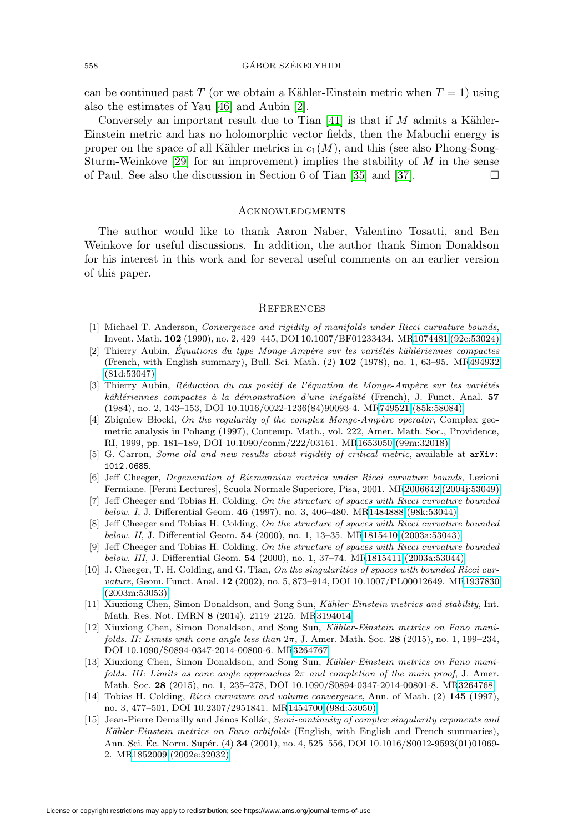can be continued past T (or we obtain a Kähler-Einstein metric when  $T = 1$ ) using also the estimates of Yau [\[46\]](#page-23-6) and Aubin [\[2\]](#page-21-13).

Conversely an important result due to Tian  $[41]$  is that if M admits a Kähler-Einstein metric and has no holomorphic vector fields, then the Mabuchi energy is proper on the space of all Kähler metrics in  $c_1(M)$ , and this (see also Phong-Song-Sturm-Weinkove [\[29\]](#page-22-24) for an improvement) implies the stability of  $M$  in the sense of Paul. See also the discussion in Section 6 of Tian [\[35\]](#page-22-25) and [\[37\]](#page-22-5).

## **ACKNOWLEDGMENTS**

The author would like to thank Aaron Naber, Valentino Tosatti, and Ben Weinkove for useful discussions. In addition, the author thank Simon Donaldson for his interest in this work and for several useful comments on an earlier version of this paper.

#### **REFERENCES**

- <span id="page-21-4"></span>[1] Michael T. Anderson, *Convergence and rigidity of manifolds under Ricci curvature bounds*, Invent. Math. **102** (1990), no. 2, 429–445, DOI 10.1007/BF01233434. M[R1074481 \(92c:53024\)](http://www.ams.org/mathscinet-getitem?mr=1074481)
- <span id="page-21-13"></span>[2] Thierry Aubin, Équations du type Monge-Ampère sur les variétés kählériennes compactes (French, with English summary), Bull. Sci. Math. (2) **102** (1978), no. 1, 63–95. M[R494932](http://www.ams.org/mathscinet-getitem?mr=494932) [\(81d:53047\)](http://www.ams.org/mathscinet-getitem?mr=494932)
- <span id="page-21-3"></span>[3] Thierry Aubin, Réduction du cas positif de l'équation de Monge-Ampère sur les variétés kählériennes compactes à la démonstration d'une inégalité (French), J. Funct. Anal. **57** (1984), no. 2, 143–153, DOI 10.1016/0022-1236(84)90093-4. M[R749521 \(85k:58084\)](http://www.ams.org/mathscinet-getitem?mr=749521)
- <span id="page-21-12"></span>[4] Zbigniew Błocki, On the regularity of the complex Monge-Ampère operator, Complex geometric analysis in Pohang (1997), Contemp. Math., vol. 222, Amer. Math. Soc., Providence, RI, 1999, pp. 181–189, DOI 10.1090/conm/222/03161. M[R1653050 \(99m:32018\)](http://www.ams.org/mathscinet-getitem?mr=1653050)
- <span id="page-21-10"></span>[5] G. Carron, *Some old and new results about rigidity of critical metric*, available at  $arXiv$ : [1012.0685](arXiv:1012.0685).
- <span id="page-21-9"></span>[6] Jeff Cheeger, Degeneration of Riemannian metrics under Ricci curvature bounds, Lezioni Fermiane. [Fermi Lectures], Scuola Normale Superiore, Pisa, 2001. M[R2006642 \(2004j:53049\)](http://www.ams.org/mathscinet-getitem?mr=2006642)
- <span id="page-21-5"></span>[7] Jeff Cheeger and Tobias H. Colding, On the structure of spaces with Ricci curvature bounded below. I, J. Differential Geom. **46** (1997), no. 3, 406–480. M[R1484888 \(98k:53044\)](http://www.ams.org/mathscinet-getitem?mr=1484888)
- [8] Jeff Cheeger and Tobias H. Colding, On the structure of spaces with Ricci curvature bounded below. II, J. Differential Geom. **54** (2000), no. 1, 13–35. M[R1815410 \(2003a:53043\)](http://www.ams.org/mathscinet-getitem?mr=1815410)
- <span id="page-21-6"></span>[9] Jeff Cheeger and Tobias H. Colding, On the structure of spaces with Ricci curvature bounded below. III, J. Differential Geom. **54** (2000), no. 1, 37–74. M[R1815411 \(2003a:53044\)](http://www.ams.org/mathscinet-getitem?mr=1815411)
- <span id="page-21-7"></span>[10] J. Cheeger, T. H. Colding, and G. Tian, On the singularities of spaces with bounded Ricci curvature, Geom. Funct. Anal. **12** (2002), no. 5, 873–914, DOI 10.1007/PL00012649. M[R1937830](http://www.ams.org/mathscinet-getitem?mr=1937830) [\(2003m:53053\)](http://www.ams.org/mathscinet-getitem?mr=1937830)
- <span id="page-21-0"></span>[11] Xiuxiong Chen, Simon Donaldson, and Song Sun, Kähler-Einstein metrics and stability, Int. Math. Res. Not. IMRN **8** (2014), 2119–2125. M[R3194014](http://www.ams.org/mathscinet-getitem?mr=3194014)
- <span id="page-21-1"></span>[12] Xiuxiong Chen, Simon Donaldson, and Song Sun, Kähler-Einstein metrics on Fano manifolds. II: Limits with cone angle less than  $2\pi$ , J. Amer. Math. Soc. **28** (2015), no. 1, 199–234, DOI 10.1090/S0894-0347-2014-00800-6. M[R3264767](http://www.ams.org/mathscinet-getitem?mr=3264767)
- <span id="page-21-2"></span>[13] Xiuxiong Chen, Simon Donaldson, and Song Sun, Kähler-Einstein metrics on Fano manifolds. III: Limits as cone angle approaches  $2\pi$  and completion of the main proof, J. Amer. Math. Soc. **28** (2015), no. 1, 235–278, DOI 10.1090/S0894-0347-2014-00801-8. M[R3264768](http://www.ams.org/mathscinet-getitem?mr=3264768)
- <span id="page-21-8"></span>[14] Tobias H. Colding, Ricci curvature and volume convergence, Ann. of Math. (2) **145** (1997), no. 3, 477–501, DOI 10.2307/2951841. M[R1454700 \(98d:53050\)](http://www.ams.org/mathscinet-getitem?mr=1454700)
- <span id="page-21-11"></span>[15] Jean-Pierre Demailly and János Kollár, Semi-continuity of complex singularity exponents and Kähler-Einstein metrics on Fano orbifolds (English, with English and French summaries), Ann. Sci. Éc. Norm. Supér. (4) **34** (2001), no. 4, 525–556, DOI 10.1016/S0012-9593(01)01069-2. M[R1852009 \(2002e:32032\)](http://www.ams.org/mathscinet-getitem?mr=1852009)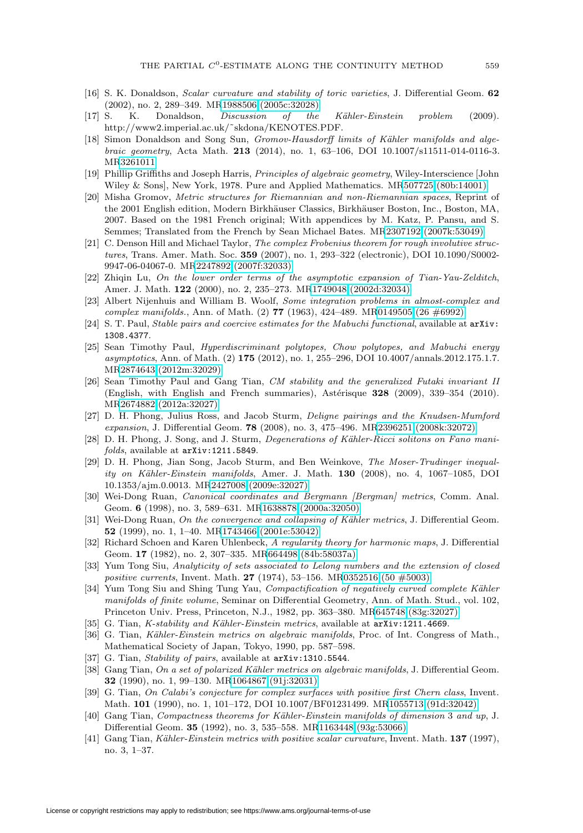- <span id="page-22-6"></span>[16] S. K. Donaldson, Scalar curvature and stability of toric varieties, J. Differential Geom. **62** (2002), no. 2, 289–349. M[R1988506 \(2005c:32028\)](http://www.ams.org/mathscinet-getitem?mr=1988506)
- <span id="page-22-1"></span>[17] S. K. Donaldson, *Discussion of the Kähler-Einstein problem* (2009). http://www2.imperial.ac.uk/˜skdona/KENOTES.PDF.
- <span id="page-22-15"></span>[18] Simon Donaldson and Song Sun, Gromov-Hausdorff limits of Kähler manifolds and algebraic geometry, Acta Math. **213** (2014), no. 1, 63–106, DOI 10.1007/s11511-014-0116-3. M[R3261011](http://www.ams.org/mathscinet-getitem?mr=3261011)
- <span id="page-22-22"></span>[19] Phillip Griffiths and Joseph Harris, Principles of algebraic geometry, Wiley-Interscience [John Wiley & Sons], New York, 1978. Pure and Applied Mathematics. M[R507725 \(80b:14001\)](http://www.ams.org/mathscinet-getitem?mr=507725)
- <span id="page-22-14"></span>[20] Misha Gromov, Metric structures for Riemannian and non-Riemannian spaces, Reprint of the 2001 English edition, Modern Birkhäuser Classics, Birkhäuser Boston, Inc., Boston, MA, 2007. Based on the 1981 French original; With appendices by M. Katz, P. Pansu, and S. Semmes; Translated from the French by Sean Michael Bates. M[R2307192 \(2007k:53049\)](http://www.ams.org/mathscinet-getitem?mr=2307192)
- <span id="page-22-18"></span>[21] C. Denson Hill and Michael Taylor, The complex Frobenius theorem for rough involutive structures, Trans. Amer. Math. Soc. **359** (2007), no. 1, 293–322 (electronic), DOI 10.1090/S0002- 9947-06-04067-0. M[R2247892 \(2007f:32033\)](http://www.ams.org/mathscinet-getitem?mr=2247892)
- <span id="page-22-12"></span>[22] Zhiqin Lu, On the lower order terms of the asymptotic expansion of Tian-Yau-Zelditch, Amer. J. Math. **122** (2000), no. 2, 235–273. M[R1749048 \(2002d:32034\)](http://www.ams.org/mathscinet-getitem?mr=1749048)
- <span id="page-22-17"></span>[23] Albert Nijenhuis and William B. Woolf, Some integration problems in almost-complex and complex manifolds., Ann. of Math. (2) **77** (1963), 424–489. M[R0149505 \(26 #6992\)](http://www.ams.org/mathscinet-getitem?mr=0149505)
- <span id="page-22-23"></span>[24] S. T. Paul, *Stable pairs and coercive estimates for the Mabuchi functional*, available at  $arXiv$ : [1308.4377](arXiv:1308.4377).
- <span id="page-22-4"></span>[25] Sean Timothy Paul, Hyperdiscriminant polytopes, Chow polytopes, and Mabuchi energy asymptotics, Ann. of Math. (2) **175** (2012), no. 1, 255–296, DOI 10.4007/annals.2012.175.1.7. M[R2874643 \(2012m:32029\)](http://www.ams.org/mathscinet-getitem?mr=2874643)
- <span id="page-22-7"></span>[26] Sean Timothy Paul and Gang Tian, CM stability and the generalized Futaki invariant II (English, with English and French summaries), Astérisque **328** (2009), 339–354 (2010). M[R2674882 \(2012a:32027\)](http://www.ams.org/mathscinet-getitem?mr=2674882)
- <span id="page-22-8"></span>[27] D. H. Phong, Julius Ross, and Jacob Sturm, Deligne pairings and the Knudsen-Mumford expansion, J. Differential Geom. **78** (2008), no. 3, 475–496. M[R2396251 \(2008k:32072\)](http://www.ams.org/mathscinet-getitem?mr=2396251)
- <span id="page-22-16"></span>[28] D. H. Phong, J. Song, and J. Sturm, Degenerations of Kähler-Ricci solitons on Fano manifolds, available at <arXiv:1211.5849>.
- <span id="page-22-24"></span>[29] D. H. Phong, Jian Song, Jacob Sturm, and Ben Weinkove, The Moser-Trudinger inequality on Kähler-Einstein manifolds, Amer. J. Math. **130** (2008), no. 4, 1067-1085, DOI 10.1353/ajm.0.0013. M[R2427008 \(2009e:32027\)](http://www.ams.org/mathscinet-getitem?mr=2427008)
- <span id="page-22-11"></span>[30] Wei-Dong Ruan, *Canonical coordinates and Bergmann [Bergman] metrics*, Comm. Anal. Geom. **6** (1998), no. 3, 589–631. M[R1638878 \(2000a:32050\)](http://www.ams.org/mathscinet-getitem?mr=1638878)
- <span id="page-22-19"></span>[31] Wei-Dong Ruan, On the convergence and collapsing of Kähler metrics, J. Differential Geom. **52** (1999), no. 1, 1–40. M[R1743466 \(2001e:53042\)](http://www.ams.org/mathscinet-getitem?mr=1743466)
- <span id="page-22-20"></span>[32] Richard Schoen and Karen Uhlenbeck, A regularity theory for harmonic maps, J. Differential Geom. **17** (1982), no. 2, 307–335. M[R664498 \(84b:58037a\)](http://www.ams.org/mathscinet-getitem?mr=664498)
- <span id="page-22-21"></span>[33] Yum Tong Siu, Analyticity of sets associated to Lelong numbers and the extension of closed positive currents, Invent. Math. **27** (1974), 53–156. M[R0352516 \(50 #5003\)](http://www.ams.org/mathscinet-getitem?mr=0352516)
- <span id="page-22-10"></span>[34] Yum Tong Siu and Shing Tung Yau, Compactification of negatively curved complete Kähler manifolds of finite volume, Seminar on Differential Geometry, Ann. of Math. Stud., vol. 102, Princeton Univ. Press, Princeton, N.J., 1982, pp. 363–380. M[R645748 \(83g:32027\)](http://www.ams.org/mathscinet-getitem?mr=645748)
- <span id="page-22-25"></span>[35] G. Tian, *K-stability and Kähler-Einstein metrics*, available at  $arXiv:1211.4669$ .
- <span id="page-22-3"></span>[36] G. Tian, Kähler-Einstein metrics on algebraic manifolds, Proc. of Int. Congress of Math., Mathematical Society of Japan, Tokyo, 1990, pp. 587–598.
- <span id="page-22-5"></span>[37] G. Tian, Stability of pairs, available at  $arXiv:1310.5544$ .
- <span id="page-22-9"></span>[38] Gang Tian, On a set of polarized Kähler metrics on algebraic manifolds, J. Differential Geom. **32** (1990), no. 1, 99–130. M[R1064867 \(91j:32031\)](http://www.ams.org/mathscinet-getitem?mr=1064867)
- <span id="page-22-2"></span>[39] G. Tian, On Calabi's conjecture for complex surfaces with positive first Chern class, Invent. Math. **101** (1990), no. 1, 101–172, DOI 10.1007/BF01231499. M[R1055713 \(91d:32042\)](http://www.ams.org/mathscinet-getitem?mr=1055713)
- <span id="page-22-13"></span>[40] Gang Tian, Compactness theorems for Kähler-Einstein manifolds of dimension 3 and up, J. Differential Geom. **35** (1992), no. 3, 535–558. M[R1163448 \(93g:53066\)](http://www.ams.org/mathscinet-getitem?mr=1163448)
- <span id="page-22-0"></span>[41] Gang Tian, Kähler-Einstein metrics with positive scalar curvature, Invent. Math. **137** (1997), no. 3, 1–37.